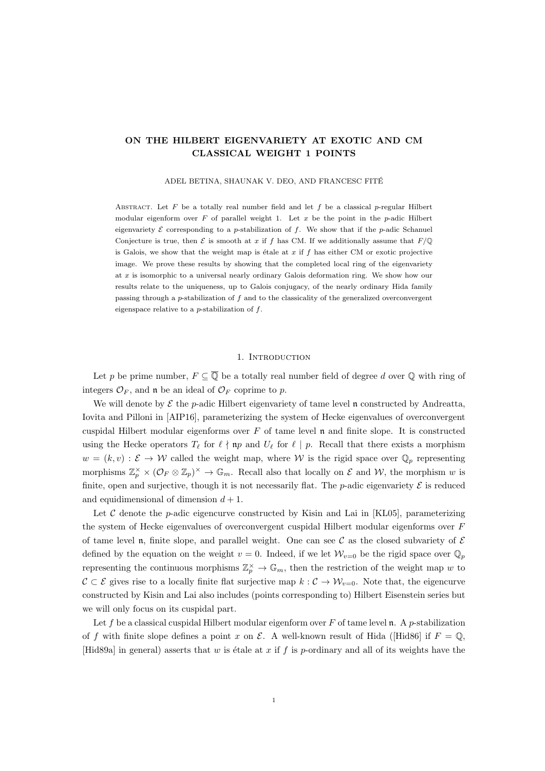## ON THE HILBERT EIGENVARIETY AT EXOTIC AND CM CLASSICAL WEIGHT 1 POINTS

ADEL BETINA, SHAUNAK V. DEO, AND FRANCESC FITÉ

ABSTRACT. Let F be a totally real number field and let f be a classical p-regular Hilbert modular eigenform over  $F$  of parallel weight 1. Let  $x$  be the point in the p-adic Hilbert eigenvariety  $\mathcal E$  corresponding to a p-stabilization of f. We show that if the p-adic Schanuel Conjecture is true, then  $\mathcal E$  is smooth at x if f has CM. If we additionally assume that  $F/\mathbb Q$ is Galois, we show that the weight map is étale at  $x$  if  $f$  has either CM or exotic projective image. We prove these results by showing that the completed local ring of the eigenvariety at x is isomorphic to a universal nearly ordinary Galois deformation ring. We show how our results relate to the uniqueness, up to Galois conjugacy, of the nearly ordinary Hida family passing through a p-stabilization of  $f$  and to the classicality of the generalized overconvergent eigenspace relative to a  $p$ -stabilization of  $f$ .

#### 1. Introduction

Let p be prime number,  $F \subseteq \overline{Q}$  be a totally real number field of degree d over  $\overline{Q}$  with ring of integers  $\mathcal{O}_F$ , and **n** be an ideal of  $\mathcal{O}_F$  coprime to p.

We will denote by  $\mathcal E$  the p-adic Hilbert eigenvariety of tame level n constructed by Andreatta, Iovita and Pilloni in [AIP16], parameterizing the system of Hecke eigenvalues of overconvergent cuspidal Hilbert modular eigenforms over  $F$  of tame level  $\mathfrak n$  and finite slope. It is constructed using the Hecke operators  $T_\ell$  for  $\ell \nmid np$  and  $U_\ell$  for  $\ell \mid p$ . Recall that there exists a morphism  $w = (k, v) : \mathcal{E} \to \mathcal{W}$  called the weight map, where W is the rigid space over  $\mathbb{Q}_p$  representing morphisms  $\mathbb{Z}_p^{\times} \times (\mathcal{O}_F \otimes \mathbb{Z}_p)^{\times} \to \mathbb{G}_m$ . Recall also that locally on  $\mathcal E$  and  $\mathcal W$ , the morphism w is finite, open and surjective, though it is not necessarily flat. The *p*-adic eigenvariety  $\mathcal E$  is reduced and equidimensional of dimension  $d + 1$ .

Let C denote the p-adic eigencurve constructed by Kisin and Lai in  $|KL05|$ , parameterizing the system of Hecke eigenvalues of overconvergent cuspidal Hilbert modular eigenforms over F of tame level n, finite slope, and parallel weight. One can see C as the closed subvariety of  $\mathcal E$ defined by the equation on the weight  $v = 0$ . Indeed, if we let  $\mathcal{W}_{v=0}$  be the rigid space over  $\mathbb{Q}_p$ representing the continuous morphisms  $\mathbb{Z}_p^{\times} \to \mathbb{G}_m$ , then the restriction of the weight map w to  $C \subset \mathcal{E}$  gives rise to a locally finite flat surjective map  $k: \mathcal{C} \to \mathcal{W}_{v=0}$ . Note that, the eigencurve constructed by Kisin and Lai also includes (points corresponding to) Hilbert Eisenstein series but we will only focus on its cuspidal part.

Let f be a classical cuspidal Hilbert modular eigenform over F of tame level  $\mathfrak n$ . A p-stabilization of f with finite slope defines a point x on  $\mathcal E$ . A well-known result of Hida ([Hid86] if  $F = \mathbb Q$ , [Hid89a] in general) asserts that w is étale at x if f is p-ordinary and all of its weights have the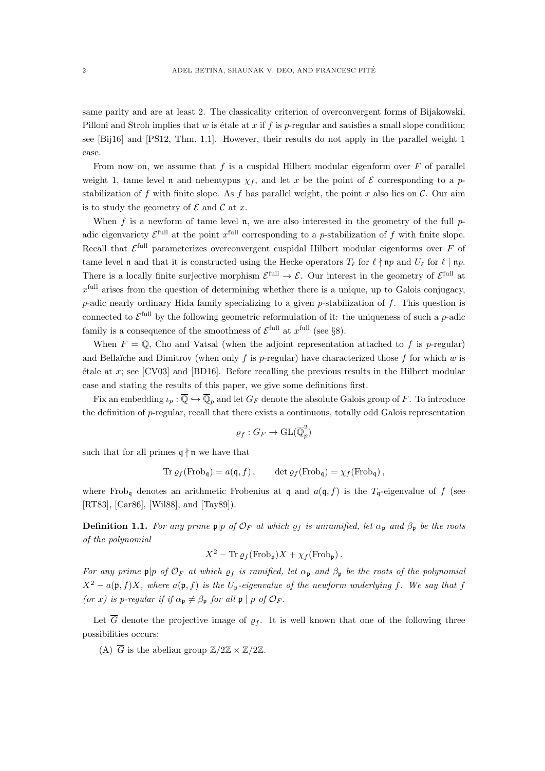same parity and are at least 2. The classicality criterion of overconvergent forms of Bijakowski, Pilloni and Stroh implies that w is étale at x if f is p-regular and satisfies a small slope condition; see [Bij16] and [PS12, Thm. 1.1]. However, their results do not apply in the parallel weight 1 case.

From now on, we assume that f is a cuspidal Hilbert modular eigenform over  $F$  of parallel weight 1, tame level n and nebentypus  $\chi_f$ , and let x be the point of E corresponding to a pstabilization of f with finite slope. As f has parallel weight, the point x also lies on  $\mathcal{C}$ . Our aim is to study the geometry of  $\mathcal E$  and  $\mathcal C$  at x.

When f is a newform of tame level n, we are also interested in the geometry of the full  $p$ adic eigenvariety  $\mathcal{E}^{\text{full}}$  at the point  $x^{\text{full}}$  corresponding to a p-stabilization of f with finite slope. Recall that  $\mathcal{E}^{\text{full}}$  parameterizes overconvergent cuspidal Hilbert modular eigenforms over F of tame level n and that it is constructed using the Hecke operators  $T_\ell$  for  $\ell \nmid np$  and  $U_\ell$  for  $\ell \mid np$ . There is a locally finite surjective morphism  $\mathcal{E}^{\text{full}} \to \mathcal{E}$ . Our interest in the geometry of  $\mathcal{E}^{\text{full}}$  at  $x<sup>full</sup>$  arises from the question of determining whether there is a unique, up to Galois conjugacy, p-adic nearly ordinary Hida family specializing to a given p-stabilization of  $f$ . This question is connected to  $\mathcal{E}^{\text{full}}$  by the following geometric reformulation of it: the uniqueness of such a p-adic family is a consequence of the smoothness of  $\mathcal{E}^{\text{full}}$  at  $x^{\text{full}}$  (see §8).

When  $F = \mathbb{Q}$ , Cho and Vatsal (when the adjoint representation attached to f is p-regular) and Bellaïche and Dimitrov (when only f is p-regular) have characterized those f for which w is  $\alpha$  etale at x; see [CV03] and [BD16]. Before recalling the previous results in the Hilbert modular case and stating the results of this paper, we give some definitions first.

Fix an embedding  $\iota_p : \overline{\mathbb{Q}} \hookrightarrow \overline{\mathbb{Q}}_p$  and let  $G_F$  denote the absolute Galois group of F. To introduce the definition of  $p$ -regular, recall that there exists a continuous, totally odd Galois representation

$$
\varrho_f:G_F\to \mathrm{GL}(\overline{\mathbb{Q}}_p^2)
$$

such that for all primes  $\mathfrak{q} \nmid \mathfrak{n}$  we have that

$$
\operatorname{Tr} \varrho_f(\operatorname{Frob}_{\mathfrak{q}}) = a(\mathfrak{q}, f), \qquad \det \varrho_f(\operatorname{Frob}_{\mathfrak{q}}) = \chi_f(\operatorname{Frob}_{\mathfrak{q}}),
$$

where Frob<sub>q</sub> denotes an arithmetic Frobenius at q and  $a(\mathfrak{q}, f)$  is the T<sub>q</sub>-eigenvalue of f (see [RT83], [Car86], [Wil88], and [Tay89]).

**Definition 1.1.** For any prime  $\mathfrak{p}|p$  of  $\mathcal{O}_F$  at which  $\rho_f$  is unramified, let  $\alpha_{\mathfrak{p}}$  and  $\beta_{\mathfrak{p}}$  be the roots of the polynomial

$$
X^2 - \text{Tr}\, \varrho_f(\text{Frob}_{\mathfrak{p}})X + \chi_f(\text{Frob}_{\mathfrak{p}}).
$$

For any prime  $\mathfrak{p}|p$  of  $\mathcal{O}_F$  at which  $\rho_f$  is ramified, let  $\alpha_{\mathfrak{p}}$  and  $\beta_{\mathfrak{p}}$  be the roots of the polynomial  $X^2 - a(\mathfrak{p}, f)X$ , where  $a(\mathfrak{p}, f)$  is the  $U_{\mathfrak{p}}$ -eigenvalue of the newform underlying f. We say that f (or x) is p-regular if if  $\alpha_{p} \neq \beta_{p}$  for all  $p | p$  of  $\mathcal{O}_F$ .

Let  $\overline{G}$  denote the projective image of  $\rho_f$ . It is well known that one of the following three possibilities occurs:

(A)  $\overline{G}$  is the abelian group  $\mathbb{Z}/2\mathbb{Z} \times \mathbb{Z}/2\mathbb{Z}$ .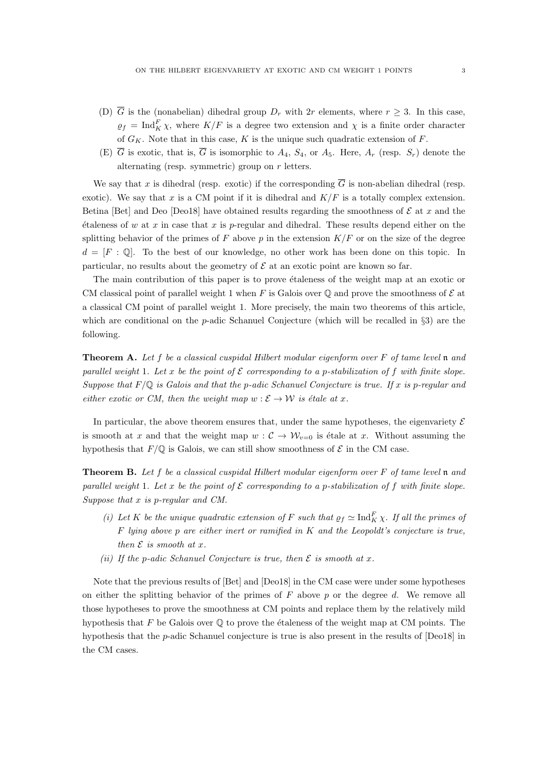- (D)  $\overline{G}$  is the (nonabelian) dihedral group  $D_r$  with 2r elements, where  $r \geq 3$ . In this case,  $\varrho_f = \text{Ind}_K^F \chi$ , where  $K/F$  is a degree two extension and  $\chi$  is a finite order character of  $G_K$ . Note that in this case, K is the unique such quadratic extension of F.
- (E)  $\overline{G}$  is exotic, that is,  $\overline{G}$  is isomorphic to  $A_4$ ,  $S_4$ , or  $A_5$ . Here,  $A_r$  (resp.  $S_r$ ) denote the alternating (resp. symmetric) group on r letters.

We say that x is dihedral (resp. exotic) if the corresponding  $\overline{G}$  is non-abelian dihedral (resp. exotic). We say that x is a CM point if it is dihedral and  $K/F$  is a totally complex extension. Betina [Bet] and Deo [Deo18] have obtained results regarding the smoothness of  $\mathcal E$  at x and the  $\alpha$  etaleness of w at x in case that x is p-regular and dihedral. These results depend either on the splitting behavior of the primes of F above p in the extension  $K/F$  or on the size of the degree  $d = [F : \mathbb{Q}]$ . To the best of our knowledge, no other work has been done on this topic. In particular, no results about the geometry of  $\mathcal E$  at an exotic point are known so far.

The main contribution of this paper is to prove etaleness of the weight map at an exotic or CM classical point of parallel weight 1 when F is Galois over  $\mathbb Q$  and prove the smoothness of  $\mathcal E$  at a classical CM point of parallel weight 1. More precisely, the main two theorems of this article, which are conditional on the *p*-adic Schanuel Conjecture (which will be recalled in §3) are the following.

**Theorem A.** Let f be a classical cuspidal Hilbert modular eigenform over  $F$  of tame level  $\mathfrak n$  and parallel weight 1. Let x be the point of  $\mathcal E$  corresponding to a p-stabilization of f with finite slope. Suppose that  $F/\mathbb{Q}$  is Galois and that the p-adic Schanuel Conjecture is true. If x is p-regular and either exotic or CM, then the weight map  $w : \mathcal{E} \to \mathcal{W}$  is étale at x.

In particular, the above theorem ensures that, under the same hypotheses, the eigenvariety  $\mathcal E$ is smooth at x and that the weight map  $w : C \to W_{v=0}$  is étale at x. Without assuming the hypothesis that  $F/\mathbb{Q}$  is Galois, we can still show smoothness of  $\mathcal E$  in the CM case.

Theorem B. Let f be a classical cuspidal Hilbert modular eigenform over F of tame level n and parallel weight 1. Let x be the point of  $\mathcal E$  corresponding to a p-stabilization of f with finite slope. Suppose that x is p-regular and CM.

- (i) Let K be the unique quadratic extension of F such that  $\rho_f \simeq \text{Ind}_K^F \chi$ . If all the primes of  $F$  lying above  $p$  are either inert or ramified in  $K$  and the Leopoldt's conjecture is true, then  $\mathcal E$  is smooth at  $x$ .
- (ii) If the p-adic Schanuel Conjecture is true, then  $\mathcal E$  is smooth at x.

Note that the previous results of [Bet] and [Deo18] in the CM case were under some hypotheses on either the splitting behavior of the primes of  $F$  above  $p$  or the degree  $d$ . We remove all those hypotheses to prove the smoothness at CM points and replace them by the relatively mild hypothesis that F be Galois over  $\mathbb Q$  to prove the étaleness of the weight map at CM points. The hypothesis that the p-adic Schanuel conjecture is true is also present in the results of [Deo18] in the CM cases.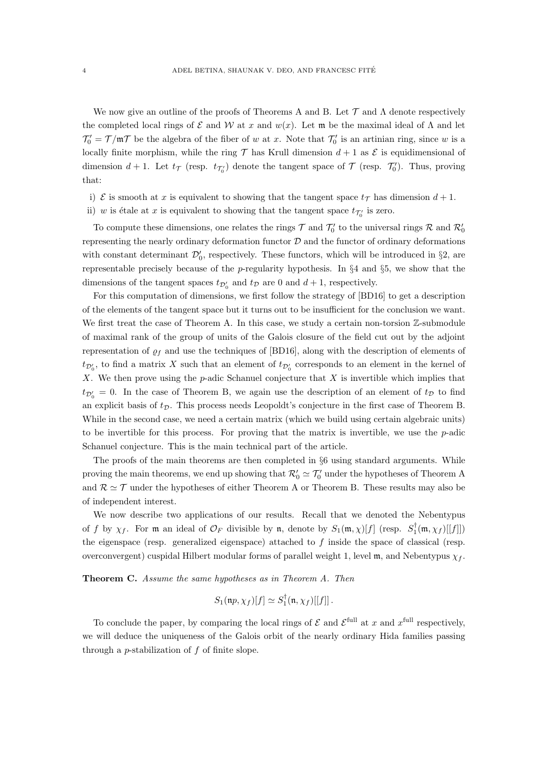We now give an outline of the proofs of Theorems A and B. Let  $\mathcal T$  and  $\Lambda$  denote respectively the completed local rings of  $\mathcal E$  and  $\mathcal W$  at x and  $w(x)$ . Let m be the maximal ideal of  $\Lambda$  and let  $\mathcal{T}'_0 = \mathcal{T}/\mathfrak{m}\mathcal{T}$  be the algebra of the fiber of w at x. Note that  $\mathcal{T}'_0$  is an artinian ring, since w is a locally finite morphism, while the ring  $\mathcal T$  has Krull dimension  $d+1$  as  $\mathcal E$  is equidimensional of dimension  $d+1$ . Let  $t_{\mathcal{T}}$  (resp.  $t_{\mathcal{T}'_0}$ ) denote the tangent space of  $\mathcal{T}$  (resp.  $\mathcal{T}'_0$ ). Thus, proving that:

- i)  $\mathcal E$  is smooth at x is equivalent to showing that the tangent space  $t_{\mathcal T}$  has dimension  $d+1$ .
- ii) w is étale at x is equivalent to showing that the tangent space  $t_{\mathcal{T}'_0}$  is zero.

To compute these dimensions, one relates the rings  $\mathcal T$  and  $\mathcal T'_0$  to the universal rings  $\mathcal R$  and  $\mathcal R'_0$ representing the nearly ordinary deformation functor  $D$  and the functor of ordinary deformations with constant determinant  $\mathcal{D}'_0$ , respectively. These functors, which will be introduced in §2, are representable precisely because of the p-regularity hypothesis. In  $\S 4$  and  $\S 5$ , we show that the dimensions of the tangent spaces  $t_{\mathcal{D}'_0}$  and  $t_{\mathcal{D}}$  are 0 and  $d+1$ , respectively.

For this computation of dimensions, we first follow the strategy of [BD16] to get a description of the elements of the tangent space but it turns out to be insufficient for the conclusion we want. We first treat the case of Theorem A. In this case, we study a certain non-torsion  $\mathbb{Z}$ -submodule of maximal rank of the group of units of the Galois closure of the field cut out by the adjoint representation of  $\rho_f$  and use the techniques of [BD16], along with the description of elements of  $t_{\mathcal{D}'_0}$ , to find a matrix X such that an element of  $t_{\mathcal{D}'_0}$  corresponds to an element in the kernel of X. We then prove using the  $p$ -adic Schanuel conjecture that  $X$  is invertible which implies that  $t_{\mathcal{D}'_0} = 0$ . In the case of Theorem B, we again use the description of an element of  $t_{\mathcal{D}}$  to find an explicit basis of  $t<sub>D</sub>$ . This process needs Leopoldt's conjecture in the first case of Theorem B. While in the second case, we need a certain matrix (which we build using certain algebraic units) to be invertible for this process. For proving that the matrix is invertible, we use the  $p$ -adic Schanuel conjecture. This is the main technical part of the article.

The proofs of the main theorems are then completed in §6 using standard arguments. While proving the main theorems, we end up showing that  $\mathcal{R}'_0 \simeq \mathcal{T}'_0$  under the hypotheses of Theorem A and  $\mathcal{R} \simeq \mathcal{T}$  under the hypotheses of either Theorem A or Theorem B. These results may also be of independent interest.

We now describe two applications of our results. Recall that we denoted the Nebentypus of f by  $\chi_f$ . For m an ideal of  $\mathcal{O}_F$  divisible by n, denote by  $S_1(\mathfrak{m}, \chi)[f]$  (resp.  $S_1^{\dagger}(\mathfrak{m}, \chi_f)[[f]]$ ) the eigenspace (resp. generalized eigenspace) attached to  $f$  inside the space of classical (resp. overconvergent) cuspidal Hilbert modular forms of parallel weight 1, level m, and Nebentypus  $\chi_f$ .

Theorem C. Assume the same hypotheses as in Theorem A. Then

$$
S_1(\mathfrak{n}p,\chi_f)[f] \simeq S_1^{\dagger}(\mathfrak{n},\chi_f)[[f]]\,.
$$

To conclude the paper, by comparing the local rings of  $\mathcal E$  and  $\mathcal E^{\text{full}}$  at x and  $x^{\text{full}}$  respectively, we will deduce the uniqueness of the Galois orbit of the nearly ordinary Hida families passing through a p-stabilization of f of finite slope.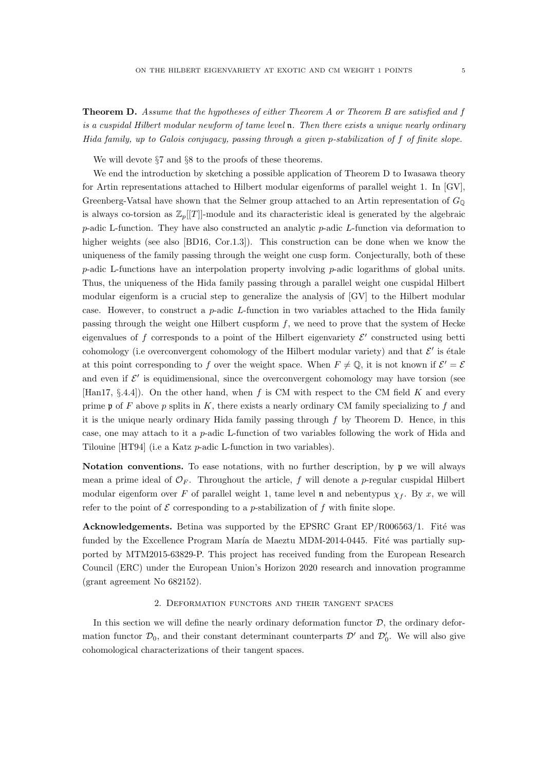Theorem D. Assume that the hypotheses of either Theorem A or Theorem B are satisfied and f is a cuspidal Hilbert modular newform of tame level  $\mathfrak n$ . Then there exists a unique nearly ordinary Hida family, up to Galois conjugacy, passing through a given p-stabilization of f of finite slope.

We will devote §7 and §8 to the proofs of these theorems.

We end the introduction by sketching a possible application of Theorem D to Iwasawa theory for Artin representations attached to Hilbert modular eigenforms of parallel weight 1. In [GV], Greenberg-Vatsal have shown that the Selmer group attached to an Artin representation of  $G_{\mathbb{Q}}$ is always co-torsion as  $\mathbb{Z}_p[[T]]$ -module and its characteristic ideal is generated by the algebraic p-adic L-function. They have also constructed an analytic p-adic L-function via deformation to higher weights (see also [BD16, Cor.1.3]). This construction can be done when we know the uniqueness of the family passing through the weight one cusp form. Conjecturally, both of these  $p$ -adic L-functions have an interpolation property involving  $p$ -adic logarithms of global units. Thus, the uniqueness of the Hida family passing through a parallel weight one cuspidal Hilbert modular eigenform is a crucial step to generalize the analysis of [GV] to the Hilbert modular case. However, to construct a p-adic L-function in two variables attached to the Hida family passing through the weight one Hilbert cuspform  $f$ , we need to prove that the system of Hecke eigenvalues of f corresponds to a point of the Hilbert eigenvariety  $\mathcal{E}'$  constructed using betti cohomology (i.e overconvergent cohomology of the Hilbert modular variety) and that  $\mathcal{E}'$  is étale at this point corresponding to f over the weight space. When  $F \neq \mathbb{Q}$ , it is not known if  $\mathcal{E}' = \mathcal{E}$ and even if  $\mathcal{E}'$  is equidimensional, since the overconvergent cohomology may have torsion (see [Han17, §.4.4]). On the other hand, when f is CM with respect to the CM field K and every prime  $\mathfrak p$  of F above p splits in K, there exists a nearly ordinary CM family specializing to f and it is the unique nearly ordinary Hida family passing through  $f$  by Theorem D. Hence, in this case, one may attach to it a p-adic L-function of two variables following the work of Hida and Tilouine [HT94] (i.e a Katz p-adic L-function in two variables).

Notation conventions. To ease notations, with no further description, by  $\mathfrak p$  we will always mean a prime ideal of  $\mathcal{O}_F$ . Throughout the article, f will denote a p-regular cuspidal Hilbert modular eigenform over F of parallel weight 1, tame level n and nebentypus  $\chi_f$ . By x, we will refer to the point of  $\mathcal E$  corresponding to a *p*-stabilization of  $f$  with finite slope.

Acknowledgements. Betina was supported by the EPSRC Grant  $EP/R006563/1$ . Fité was funded by the Excellence Program María de Maeztu MDM-2014-0445. Fité was partially supported by MTM2015-63829-P. This project has received funding from the European Research Council (ERC) under the European Union's Horizon 2020 research and innovation programme (grant agreement No 682152).

#### 2. Deformation functors and their tangent spaces

In this section we will define the nearly ordinary deformation functor  $D$ , the ordinary deformation functor  $\mathcal{D}_0$ , and their constant determinant counterparts  $\mathcal{D}'$  and  $\mathcal{D}'_0$ . We will also give cohomological characterizations of their tangent spaces.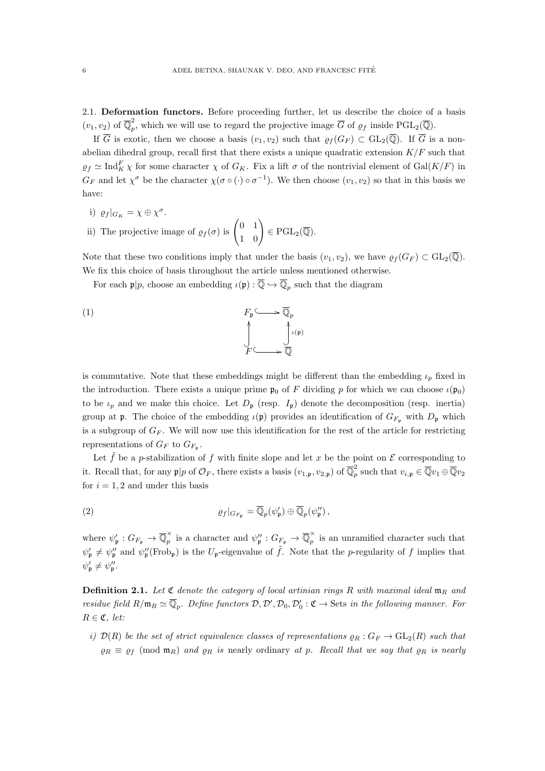2.1. Deformation functors. Before proceeding further, let us describe the choice of a basis  $(v_1, v_2)$  of  $\overline{\mathbb{Q}}_p^2$ <sup>2</sup><sub>p</sub>, which we will use to regard the projective image  $\overline{G}$  of  $\rho_f$  inside PGL<sub>2</sub>( $\overline{\mathbb{Q}}$ ).

If  $\overline{G}$  is exotic, then we choose a basis  $(v_1, v_2)$  such that  $\varrho_f(G_F) \subset GL_2(\overline{\mathbb{Q}})$ . If  $\overline{G}$  is a nonabelian dihedral group, recall first that there exists a unique quadratic extension  $K/F$  such that  $\varrho_f \simeq \text{Ind}_K^F \chi$  for some character  $\chi$  of  $G_K$ . Fix a lift  $\sigma$  of the nontrivial element of  $\text{Gal}(K/F)$  in  $G_F$  and let  $\chi^{\sigma}$  be the character  $\chi(\sigma \circ (\cdot) \circ \sigma^{-1})$ . We then choose  $(v_1, v_2)$  so that in this basis we have:

i)  $\varrho_f|_{G_K} = \chi \oplus \chi^{\sigma}$ . ii) The projective image of  $\rho_f(\sigma)$  is  $\begin{pmatrix} 0 & 1 \\ 1 & 0 \end{pmatrix} \in \text{PGL}_2(\overline{\mathbb{Q}}).$ 

Note that these two conditions imply that under the basis  $(v_1, v_2)$ , we have  $\rho_f(G_F) \subset GL_2(\overline{\mathbb{Q}})$ . We fix this choice of basis throughout the article unless mentioned otherwise.

For each  $\mathfrak{p}|p$ , choose an embedding  $\iota(\mathfrak{p}) : \overline{\mathbb{Q}} \hookrightarrow \overline{\mathbb{Q}}_p$  such that the diagram

(1) 
$$
F_{\mathfrak{p}} \longrightarrow \overline{\mathbb{Q}}_p
$$

$$
\downarrow^{\wedge} \qquad \qquad \downarrow^{\wedge(\mathfrak{p})}
$$

$$
F \longrightarrow \overline{\mathbb{Q}}
$$

is commutative. Note that these embeddings might be different than the embedding  $\iota_p$  fixed in the introduction. There exists a unique prime  $\mathfrak{p}_0$  of F dividing p for which we can choose  $\iota(\mathfrak{p}_0)$ to be  $\iota_p$  and we make this choice. Let  $D_p$  (resp.  $I_p$ ) denote the decomposition (resp. inertia) group at **p**. The choice of the embedding  $\iota(\mathfrak{p})$  provides an identification of  $G_{F_p}$  with  $D_p$  which is a subgroup of  $G_F$ . We will now use this identification for the rest of the article for restricting representations of  $G_F$  to  $G_{F_{\mathfrak{p}}}.$ 

Let  $\tilde{f}$  be a p-stabilization of f with finite slope and let x be the point on  $\mathcal E$  corresponding to it. Recall that, for any  $p|p$  of  $\mathcal{O}_F$ , there exists a basis  $(v_{1,p}, v_{2,p})$  of  $\overline{\mathbb{Q}}_p^2$  $p_p^2$  such that  $v_{i,\mathfrak{p}} \in \overline{\mathbb{Q}} v_1 \oplus \overline{\mathbb{Q}} v_2$ for  $i = 1, 2$  and under this basis

(2) 
$$
\varrho_f|_{G_{F_{\mathfrak{p}}}} = \overline{\mathbb{Q}}_p(\psi_{\mathfrak{p}}') \oplus \overline{\mathbb{Q}}_p(\psi_{\mathfrak{p}}''),
$$

where  $\psi_{\mathfrak{p}}': G_{F_{\mathfrak{p}}}\to \overline{\mathbb{Q}}_p^{\times}$  $\overline{\mathbb{Q}}_p^{\times}$  is a character and  $\psi''_p : G_{F_p} \to \overline{\mathbb{Q}}_p^{\times}$  $\hat{p}$  is an unramified character such that  $\psi'_\mathfrak{p} \neq \psi''_\mathfrak{p}$  and  $\psi''_\mathfrak{p}(\text{Frob}_\mathfrak{p})$  is the  $U_\mathfrak{p}$ -eigenvalue of  $\tilde{f}$ . Note that the p-regularity of f implies that  $\psi_{\mathfrak{p}}' \neq \psi_{\mathfrak{p}}''$ .

**Definition 2.1.** Let  $\mathfrak C$  denote the category of local artinian rings R with maximal ideal  $\mathfrak m_R$  and residue field  $R/\mathfrak{m}_R \simeq \overline{\mathbb{Q}}_p$ . Define functors  $\mathcal{D}, \mathcal{D}', \mathcal{D}_0, \mathcal{D}'_0 : \mathfrak{C} \to \text{Sets}$  in the following manner. For  $R \in \mathfrak{C}$ , let:

i)  $\mathcal{D}(R)$  be the set of strict equivalence classes of representations  $\rho_R : G_F \to GL_2(R)$  such that  $\rho_R \equiv \rho_f \pmod{\mathfrak{m}_R}$  and  $\rho_R$  is nearly ordinary at p. Recall that we say that  $\rho_R$  is nearly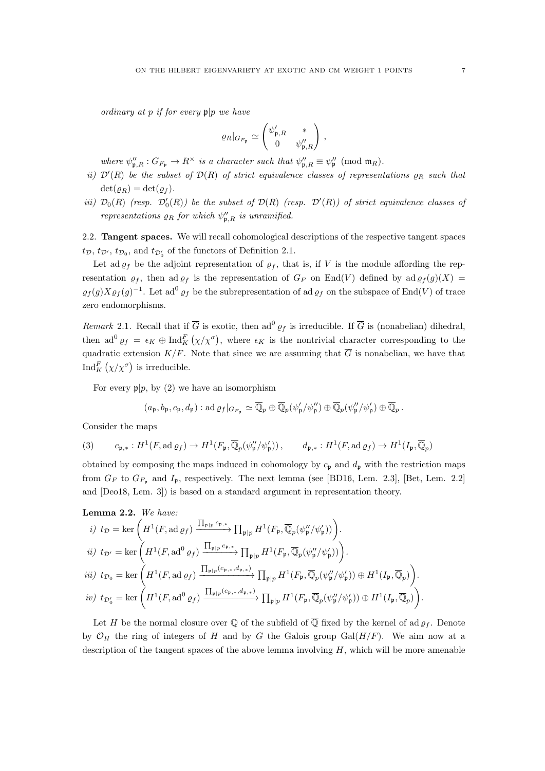ordinary at p if for every  $\mathfrak{p}|p$  we have

$$
\varrho_R|_{G_{F_{\mathfrak{p}}}} \simeq \begin{pmatrix} \psi'_{\mathfrak{p},R} & * \\ 0 & \psi''_{\mathfrak{p},R} \end{pmatrix},
$$

where  $\psi''_{\mathbf{p},R} : G_{F_{\mathbf{p}}} \to R^{\times}$  is a character such that  $\psi''_{\mathbf{p},R} \equiv \psi''_{\mathbf{p}} \pmod{\mathfrak{m}_{R}}$ .

- ii)  $\mathcal{D}'(R)$  be the subset of  $\mathcal{D}(R)$  of strict equivalence classes of representations  $\rho_R$  such that  $\det(\rho_R) = \det(\rho_f)$ .
- iii)  $\mathcal{D}_0(R)$  (resp.  $\mathcal{D}'_0(R)$ ) be the subset of  $\mathcal{D}(R)$  (resp.  $\mathcal{D}'(R)$ ) of strict equivalence classes of representations  $\rho_R$  for which  $\psi_{\mathfrak{p},R}''$  is unramified.

2.2. Tangent spaces. We will recall cohomological descriptions of the respective tangent spaces  $t_{\mathcal{D}}$ ,  $t_{\mathcal{D}}$ ,  $t_{\mathcal{D}_0}$ , and  $t_{\mathcal{D}'_0}$  of the functors of Definition 2.1.

Let ad  $\varrho_f$  be the adjoint representation of  $\varrho_f$ , that is, if V is the module affording the representation  $\varrho_f$ , then ad  $\varrho_f$  is the representation of  $G_F$  on End(V) defined by ad  $\varrho_f(g)(X)$  $\varrho_f(g)X\varrho_f(g)^{-1}$ . Let ad<sup>0</sup>  $\varrho_f$  be the subrepresentation of ad  $\varrho_f$  on the subspace of End(V) of trace zero endomorphisms.

Remark 2.1. Recall that if  $\overline{G}$  is exotic, then ad<sup>0</sup>  $\varrho_f$  is irreducible. If  $\overline{G}$  is (nonabelian) dihedral, then ad<sup>0</sup>  $\varrho_f = \epsilon_K \oplus \text{Ind}_K^F(\chi/\chi^\sigma)$ , where  $\epsilon_K$  is the nontrivial character corresponding to the quadratic extension  $K/F$ . Note that since we are assuming that  $\overline{G}$  is nonabelian, we have that Ind $_K^F(\chi/\chi^\sigma)$  is irreducible.

For every  $p|p$ , by (2) we have an isomorphism

$$
(a_{\mathfrak{p}}, b_{\mathfrak{p}}, c_{\mathfrak{p}}, d_{\mathfrak{p}}): \operatorname{ad}\varrho_f|_{G_{F_{\mathfrak{p}}}} \simeq \overline{\mathbb{Q}}_p \oplus \overline{\mathbb{Q}}_p(\psi_{\mathfrak{p}}'/\psi_{\mathfrak{p}}'') \oplus \overline{\mathbb{Q}}_p(\psi_{\mathfrak{p}}''/\psi_{\mathfrak{p}}') \oplus \overline{\mathbb{Q}}_p.
$$

Consider the maps

(3) 
$$
c_{\mathfrak{p},*}: H^1(F, \operatorname{ad} \varrho_f) \to H^1(F_{\mathfrak{p}}, \overline{\mathbb{Q}}_p(\psi''_{\mathfrak{p}}/\psi'_{\mathfrak{p}})), \qquad d_{\mathfrak{p},*}: H^1(F, \operatorname{ad} \varrho_f) \to H^1(I_{\mathfrak{p}}, \overline{\mathbb{Q}}_p)
$$

obtained by composing the maps induced in cohomology by  $c_p$  and  $d_p$  with the restriction maps from  $G_F$  to  $G_{F_p}$  and  $I_p$ , respectively. The next lemma (see [BD16, Lem. 2.3], [Bet, Lem. 2.2] and [Deo18, Lem. 3]) is based on a standard argument in representation theory.

**Lemma 2.2.** We have:  
\ni) 
$$
t_{\mathcal{D}} = \ker \left( H^1(F, \mathrm{ad} \varrho_f) \xrightarrow{\prod_{\mathfrak{p} \mid p} c_{\mathfrak{p}, *}} \prod_{\mathfrak{p} \mid p} H^1(F_{\mathfrak{p}}, \overline{\mathbb{Q}}_p(\psi_{\mathfrak{p}}''/\psi_{\mathfrak{p}}')) \right)
$$
.  
\n $i i)$   $t_{\mathcal{D}'} = \ker \left( H^1(F, \mathrm{ad}^0 \varrho_f) \xrightarrow{\prod_{\mathfrak{p} \mid p} c_{\mathfrak{p}, *}} \prod_{\mathfrak{p} \mid p} H^1(F_{\mathfrak{p}}, \overline{\mathbb{Q}}_p(\psi_{\mathfrak{p}}''/\psi_{\mathfrak{p}}')) \right)$ .  
\n $i ii)$   $t_{\mathcal{D}_0} = \ker \left( H^1(F, \mathrm{ad} \varrho_f) \xrightarrow{\prod_{\mathfrak{p} \mid p} (c_{\mathfrak{p}, *}, d_{\mathfrak{p}, *})} \prod_{\mathfrak{p} \mid p} H^1(F_{\mathfrak{p}}, \overline{\mathbb{Q}}_p(\psi_{\mathfrak{p}}''/\psi_{\mathfrak{p}}')) \oplus H^1(I_{\mathfrak{p}}, \overline{\mathbb{Q}}_p) \right)$ .  
\n $i v)$   $t_{\mathcal{D}'_0} = \ker \left( H^1(F, \mathrm{ad}^0 \varrho_f) \xrightarrow{\prod_{\mathfrak{p} \mid p} (c_{\mathfrak{p}, *}, d_{\mathfrak{p}, *})} \prod_{\mathfrak{p} \mid p} H^1(F_{\mathfrak{p}}, \overline{\mathbb{Q}}_p(\psi_{\mathfrak{p}}''/\psi_{\mathfrak{p}}')) \oplus H^1(I_{\mathfrak{p}}, \overline{\mathbb{Q}}_p) \right)$ .

Let H be the normal closure over Q of the subfield of  $\overline{Q}$  fixed by the kernel of ad  $\rho_f$ . Denote by  $\mathcal{O}_H$  the ring of integers of H and by G the Galois group Gal( $H/F$ ). We aim now at a description of the tangent spaces of the above lemma involving  $H$ , which will be more amenable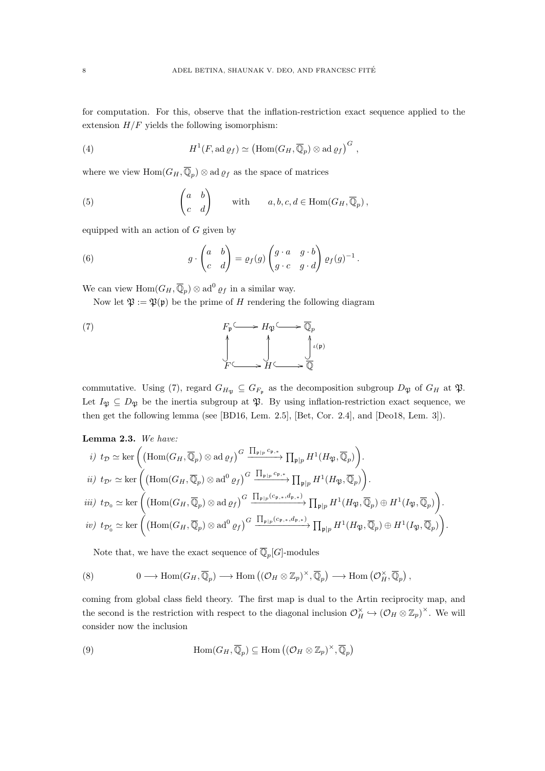for computation. For this, observe that the inflation-restriction exact sequence applied to the extension  $H/F$  yields the following isomorphism:

(4) 
$$
H^1(F, \operatorname{ad} \varrho_f) \simeq \left(\operatorname{Hom}(G_H, \overline{\mathbb{Q}}_p) \otimes \operatorname{ad} \varrho_f\right)^G,
$$

where we view  $\text{Hom}(G_H, \overline{\mathbb{Q}}_p) \otimes \text{ad } \varrho_f$  as the space of matrices

(5) 
$$
\begin{pmatrix} a & b \ c & d \end{pmatrix} \text{ with } a, b, c, d \in \text{Hom}(G_H, \overline{\mathbb{Q}}_p),
$$

equipped with an action of  $G$  given by

(6) 
$$
g \cdot \begin{pmatrix} a & b \\ c & d \end{pmatrix} = \varrho_f(g) \begin{pmatrix} g \cdot a & g \cdot b \\ g \cdot c & g \cdot d \end{pmatrix} \varrho_f(g)^{-1}.
$$

We can view  $\text{Hom}(G_H, \overline{\mathbb{Q}}_p) \otimes \text{ad}^0 \varrho_f$  in a similar way.

Now let  $\mathfrak{P} := \mathfrak{P}(\mathfrak{p})$  be the prime of H rendering the following diagram

(7) 
$$
F_{\mathfrak{p}} \longrightarrow H_{\mathfrak{P}} \longrightarrow \overline{\mathbb{Q}}_p
$$
\n
$$
\downarrow \qquad \qquad \downarrow \qquad \qquad \downarrow \qquad \downarrow \qquad \downarrow \qquad \downarrow \qquad \downarrow \qquad \downarrow \qquad \downarrow \qquad \downarrow \qquad \downarrow \qquad \downarrow \qquad \downarrow \qquad \downarrow \qquad \downarrow \qquad \downarrow \qquad \downarrow \qquad \downarrow \qquad \downarrow \qquad \downarrow \qquad \downarrow \qquad \downarrow \qquad \downarrow \qquad \downarrow \qquad \downarrow \qquad \downarrow \qquad \downarrow \qquad \downarrow \qquad \downarrow \qquad \downarrow \qquad \downarrow \qquad \downarrow \qquad \downarrow \qquad \downarrow \qquad \downarrow \qquad \downarrow \qquad \downarrow \qquad \downarrow \qquad \downarrow \qquad \downarrow \qquad \downarrow \qquad \downarrow \qquad \downarrow \qquad \downarrow \qquad \downarrow \qquad \downarrow \qquad \downarrow \qquad \downarrow \qquad \downarrow \qquad \downarrow \qquad \downarrow \qquad \downarrow \qquad \downarrow \qquad \downarrow \qquad \downarrow \qquad \downarrow \qquad \downarrow \qquad \downarrow \qquad \downarrow \qquad \downarrow \qquad \downarrow \qquad \downarrow \qquad \downarrow \qquad \downarrow \qquad \downarrow \qquad \downarrow \qquad \downarrow \qquad \downarrow \qquad \downarrow \qquad \downarrow \qquad \downarrow \qquad \downarrow \qquad \downarrow \qquad \downarrow \qquad \downarrow \qquad \downarrow \qquad \downarrow \qquad \downarrow \qquad \downarrow \qquad \downarrow \qquad \downarrow \qquad \downarrow \qquad \downarrow \qquad \downarrow \qquad \downarrow \qquad \downarrow \qquad \downarrow \qquad \downarrow \qquad \downarrow \qquad \downarrow \qquad \downarrow \qquad \downarrow \qquad \downarrow \qquad \downarrow \qquad \downarrow \qquad \downarrow \qquad \downarrow \qquad \downarrow \qquad \downarrow \qquad \downarrow \qquad \downarrow \qquad \downarrow \qquad \downarrow \qquad \downarrow \qquad \downarrow \qquad \downarrow \qquad \downarrow \qquad \downarrow \qquad \downarrow \qquad \downarrow \qquad \downarrow \qquad \downarrow \qquad \downarrow \qquad \downarrow \qquad \downarrow \qquad \downarrow \qquad \downarrow \qquad \downarrow \qquad
$$

commutative. Using (7), regard  $G_{H_{\mathfrak{P}}} \subseteq G_{F_{\mathfrak{p}}}$  as the decomposition subgroup  $D_{\mathfrak{P}}$  of  $G_H$  at  $\mathfrak{P}$ . Let  $I_{\mathfrak{P}} \subseteq D_{\mathfrak{P}}$  be the inertia subgroup at  $\mathfrak{P}$ . By using inflation-restriction exact sequence, we then get the following lemma (see [BD16, Lem. 2.5], [Bet, Cor. 2.4], and [Deo18, Lem. 3]).

Lemma 2.3. We have:

*i)* 
$$
t_{\mathcal{D}} \simeq \ker \left( \left( \operatorname{Hom}(G_H, \overline{\mathbb{Q}}_p) \otimes \operatorname{ad} \varrho_f \right)^G \xrightarrow{\prod_{\mathfrak{p}|p} c_{\mathfrak{p}, *}} \prod_{\mathfrak{p}|p} H^1(H_{\mathfrak{P}}, \overline{\mathbb{Q}}_p) \right).
$$
  
\n*ii)*  $t_{\mathcal{D}'} \simeq \ker \left( \left( \operatorname{Hom}(G_H, \overline{\mathbb{Q}}_p) \otimes \operatorname{ad}^0 \varrho_f \right)^G \xrightarrow{\prod_{\mathfrak{p}|p} c_{\mathfrak{p}, *}} \prod_{\mathfrak{p}|p} H^1(H_{\mathfrak{P}}, \overline{\mathbb{Q}}_p) \right).$   
\n*iii)*  $t_{\mathcal{D}_0} \simeq \ker \left( \left( \operatorname{Hom}(G_H, \overline{\mathbb{Q}}_p) \otimes \operatorname{ad} \varrho_f \right)^G \xrightarrow{\prod_{\mathfrak{p}|p} (c_{\mathfrak{p}, *}, d_{\mathfrak{p}, *})} \prod_{\mathfrak{p}|p} H^1(H_{\mathfrak{P}}, \overline{\mathbb{Q}}_p) \oplus H^1(I_{\mathfrak{P}}, \overline{\mathbb{Q}}_p) \right).$   
\n*iv)*  $t_{\mathcal{D}'_0} \simeq \ker \left( \left( \operatorname{Hom}(G_H, \overline{\mathbb{Q}}_p) \otimes \operatorname{ad}^0 \varrho_f \right)^G \xrightarrow{\prod_{\mathfrak{p}|p} (c_{\mathfrak{p}, *}, d_{\mathfrak{p}, *})} \prod_{\mathfrak{p}|p} H^1(H_{\mathfrak{P}}, \overline{\mathbb{Q}}_p) \oplus H^1(I_{\mathfrak{P}}, \overline{\mathbb{Q}}_p) \right).$ 

Note that, we have the exact sequence of  $\overline{\mathbb{Q}}_p[G]$ -modules

(8) 
$$
0 \longrightarrow \text{Hom}(G_H, \overline{\mathbb{Q}}_p) \longrightarrow \text{Hom}((\mathcal{O}_H \otimes \mathbb{Z}_p)^{\times}, \overline{\mathbb{Q}}_p) \longrightarrow \text{Hom}(\mathcal{O}_H^{\times}, \overline{\mathbb{Q}}_p),
$$

coming from global class field theory. The first map is dual to the Artin reciprocity map, and the second is the restriction with respect to the diagonal inclusion  $\mathcal{O}_H^{\times} \hookrightarrow (\mathcal{O}_H \otimes \mathbb{Z}_p)^{\times}$ . We will consider now the inclusion

(9) 
$$
\text{Hom}(G_H, \overline{\mathbb{Q}}_p) \subseteq \text{Hom}\left((\mathcal{O}_H \otimes \mathbb{Z}_p)^\times, \overline{\mathbb{Q}}_p\right)
$$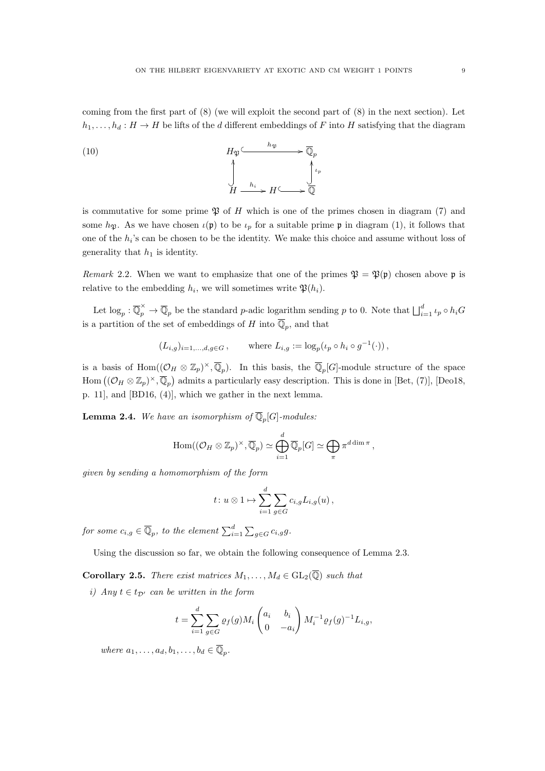coming from the first part of (8) (we will exploit the second part of (8) in the next section). Let  $h_1, \ldots, h_d : H \to H$  be lifts of the d different embeddings of F into H satisfying that the diagram

(10) 
$$
H_{\mathfrak{P}} \xrightarrow{h_{\mathfrak{P}}} \overline{\mathbb{Q}}_p
$$
\n
$$
\downarrow H \xrightarrow{h_i} H \xrightarrow{h_{\mathfrak{P}}} H \xrightarrow{\downarrow \iota_p} \overline{\mathbb{Q}}
$$

is commutative for some prime  $\mathfrak P$  of H which is one of the primes chosen in diagram (7) and some  $h_{\mathfrak{P}}$ . As we have chosen  $\iota(\mathfrak{p})$  to be  $\iota_p$  for a suitable prime  $\mathfrak{p}$  in diagram (1), it follows that one of the  $h_i$ 's can be chosen to be the identity. We make this choice and assume without loss of generality that  $h_1$  is identity.

Remark 2.2. When we want to emphasize that one of the primes  $\mathfrak{P} = \mathfrak{P}(\mathfrak{p})$  chosen above p is relative to the embedding  $h_i$ , we will sometimes write  $\mathfrak{P}(h_i)$ .

Let  $\log_p : \overline{\mathbb{Q}}_p^{\times} \to \overline{\mathbb{Q}}_p$  be the standard p-adic logarithm sending p to 0. Note that  $\bigsqcup_{i=1}^d \iota_p \circ h_i G$ is a partition of the set of embeddings of H into  $\overline{\mathbb{Q}}_p$ , and that

$$
(L_{i,g})_{i=1,\dots,d,g\in G}
$$
, where  $L_{i,g} := \log_p(\iota_p \circ h_i \circ g^{-1}(\cdot))$ ,

is a basis of Hom $((\mathcal{O}_H \otimes \mathbb{Z}_p)^{\times}, \overline{\mathbb{Q}}_p)$ . In this basis, the  $\overline{\mathbb{Q}}_p[G]$ -module structure of the space Hom  $((\mathcal{O}_H \otimes \mathbb{Z}_p)^\times, \overline{\mathbb{Q}}_p)$  admits a particularly easy description. This is done in [Bet, (7)], [Deo18, p. 11], and [BD16, (4)], which we gather in the next lemma.

**Lemma 2.4.** We have an isomorphism of  $\overline{\mathbb{Q}}_p[G]$ -modules:

$$
\mathrm{Hom}((\mathcal{O}_H \otimes \mathbb{Z}_p)^\times, \overline{\mathbb{Q}}_p) \simeq \bigoplus_{i=1}^d \overline{\mathbb{Q}}_p[G] \simeq \bigoplus_{\pi} \pi^{d \dim \pi},
$$

given by sending a homomorphism of the form

$$
t: u \otimes 1 \mapsto \sum_{i=1}^d \sum_{g \in G} c_{i,g} L_{i,g}(u),
$$

for some  $c_{i,g}\in\overline{\mathbb{Q}}_p,$  to the element  $\sum_{i=1}^d\sum_{g\in G}c_{i,g}g.$ 

Using the discussion so far, we obtain the following consequence of Lemma 2.3.

**Corollary 2.5.** There exist matrices  $M_1, \ldots, M_d \in GL_2(\overline{\mathbb{Q}})$  such that

i) Any  $t \in t_{\mathcal{D}'}$  can be written in the form

$$
t = \sum_{i=1}^{d} \sum_{g \in G} \varrho_f(g) M_i \begin{pmatrix} a_i & b_i \\ 0 & -a_i \end{pmatrix} M_i^{-1} \varrho_f(g)^{-1} L_{i,g},
$$

where  $a_1, \ldots, a_d, b_1, \ldots, b_d \in \overline{\mathbb{Q}}_p$ .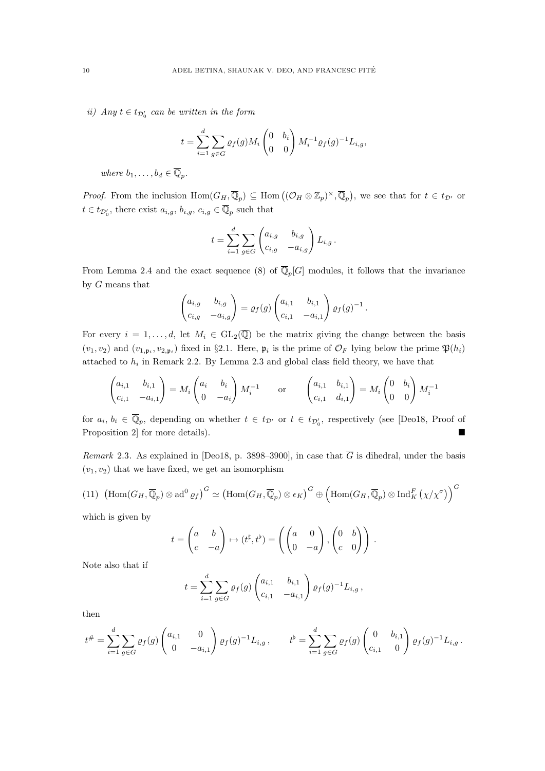ii) Any  $t \in t_{\mathcal{D}'_0}$  can be written in the form

$$
t = \sum_{i=1}^{d} \sum_{g \in G} \varrho_f(g) M_i \begin{pmatrix} 0 & b_i \\ 0 & 0 \end{pmatrix} M_i^{-1} \varrho_f(g)^{-1} L_{i,g},
$$

where  $b_1, \ldots, b_d \in \overline{\mathbb{Q}}_p$ .

*Proof.* From the inclusion  $\text{Hom}(G_H, \overline{\mathbb{Q}}_p) \subseteq \text{Hom}((\mathcal{O}_H \otimes \mathbb{Z}_p)^{\times}, \overline{\mathbb{Q}}_p)$ , we see that for  $t \in t_{\mathcal{D}'}$  or  $t \in t_{\mathcal{D}'_0}$ , there exist  $a_{i,g}, b_{i,g}, c_{i,g} \in \overline{\mathbb{Q}}_p$  such that

$$
t = \sum_{i=1}^d \sum_{g \in G} \begin{pmatrix} a_{i,g} & b_{i,g} \\ c_{i,g} & -a_{i,g} \end{pmatrix} L_{i,g}.
$$

From Lemma 2.4 and the exact sequence (8) of  $\overline{\mathbb{Q}}_p[G]$  modules, it follows that the invariance by G means that

$$
\begin{pmatrix} a_{i,g} & b_{i,g} \\ c_{i,g} & -a_{i,g} \end{pmatrix} = \varrho_f(g) \begin{pmatrix} a_{i,1} & b_{i,1} \\ c_{i,1} & -a_{i,1} \end{pmatrix} \varrho_f(g)^{-1}.
$$

For every  $i = 1, \ldots, d$ , let  $M_i \in GL_2(\overline{\mathbb{Q}})$  be the matrix giving the change between the basis  $(v_1, v_2)$  and  $(v_{1,\mathfrak{p}_i}, v_{2,\mathfrak{p}_i})$  fixed in §2.1. Here,  $\mathfrak{p}_i$  is the prime of  $\mathcal{O}_F$  lying below the prime  $\mathfrak{P}(h_i)$ attached to  $h_i$  in Remark 2.2. By Lemma 2.3 and global class field theory, we have that

$$
\begin{pmatrix} a_{i,1} & b_{i,1} \\ c_{i,1} & -a_{i,1} \end{pmatrix} = M_i \begin{pmatrix} a_i & b_i \\ 0 & -a_i \end{pmatrix} M_i^{-1} \quad \text{or} \quad \begin{pmatrix} a_{i,1} & b_{i,1} \\ c_{i,1} & d_{i,1} \end{pmatrix} = M_i \begin{pmatrix} 0 & b_i \\ 0 & 0 \end{pmatrix} M_i^{-1}
$$

for  $a_i, b_i \in \overline{\mathbb{Q}}_p$ , depending on whether  $t \in t_{\mathcal{D}'}$  or  $t \in t_{\mathcal{D}'_0}$ , respectively (see [Deo18, Proof of Proposition 2 for more details).

Remark 2.3. As explained in [Deo18, p. 3898-3900], in case that  $\overline{G}$  is dihedral, under the basis  $(v_1, v_2)$  that we have fixed, we get an isomorphism

(11) 
$$
(\text{Hom}(G_H, \overline{\mathbb{Q}}_p) \otimes \text{ad}^0 \varrho_f)^G \simeq (\text{Hom}(G_H, \overline{\mathbb{Q}}_p) \otimes \epsilon_K)^G \oplus (\text{Hom}(G_H, \overline{\mathbb{Q}}_p) \otimes \text{Ind}_K^F (\chi/\chi^{\sigma}) )^G
$$

which is given by

$$
t = \begin{pmatrix} a & b \\ c & -a \end{pmatrix} \mapsto (t^{\sharp}, t^{\flat}) = \left( \begin{pmatrix} a & 0 \\ 0 & -a \end{pmatrix}, \begin{pmatrix} 0 & b \\ c & 0 \end{pmatrix} \right).
$$

Note also that if

$$
t = \sum_{i=1}^d \sum_{g \in G} \varrho_f(g) \begin{pmatrix} a_{i,1} & b_{i,1} \\ c_{i,1} & -a_{i,1} \end{pmatrix} \varrho_f(g)^{-1} L_{i,g},
$$

then

$$
t^{\#} = \sum_{i=1}^{d} \sum_{g \in G} \varrho_f(g) \begin{pmatrix} a_{i,1} & 0 \\ 0 & -a_{i,1} \end{pmatrix} \varrho_f(g)^{-1} L_{i,g} , \qquad t^{\flat} = \sum_{i=1}^{d} \sum_{g \in G} \varrho_f(g) \begin{pmatrix} 0 & b_{i,1} \\ c_{i,1} & 0 \end{pmatrix} \varrho_f(g)^{-1} L_{i,g} .
$$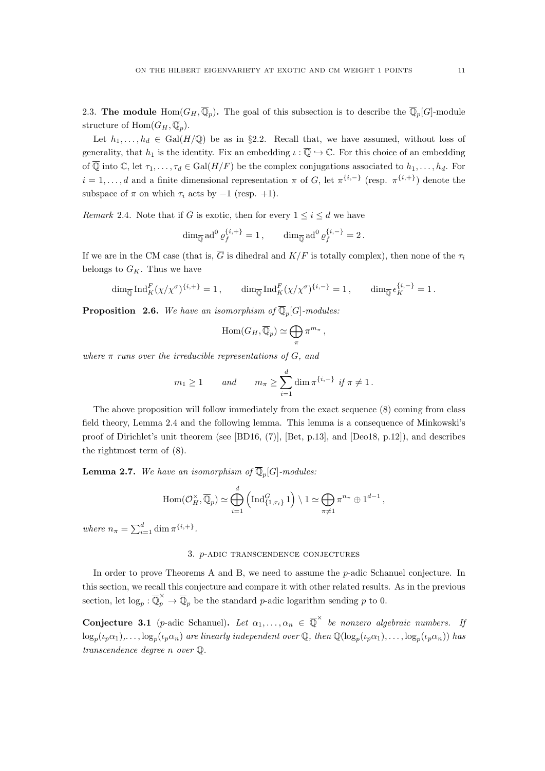2.3. The module  $\text{Hom}(G_H, \overline{\mathbb{Q}}_p)$ . The goal of this subsection is to describe the  $\overline{\mathbb{Q}}_p[G]$ -module structure of  $\text{Hom}(G_H, \overline{\mathbb{Q}}_p)$ .

Let  $h_1, \ldots, h_d \in \text{Gal}(H/\mathbb{Q})$  be as in §2.2. Recall that, we have assumed, without loss of generality, that  $h_1$  is the identity. Fix an embedding  $\iota : \overline{\mathbb{Q}} \hookrightarrow \mathbb{C}$ . For this choice of an embedding of  $\overline{\mathbb{Q}}$  into  $\mathbb{C}$ , let  $\tau_1, \ldots, \tau_d \in \text{Gal}(H/F)$  be the complex conjugations associated to  $h_1, \ldots, h_d$ . For  $i = 1, \ldots, d$  and a finite dimensional representation  $\pi$  of G, let  $\pi^{\{i, -\}}$  (resp.  $\pi^{\{i, +\}}$ ) denote the subspace of  $\pi$  on which  $\tau_i$  acts by  $-1$  (resp. +1).

Remark 2.4. Note that if  $\overline{G}$  is exotic, then for every  $1 \leq i \leq d$  we have

$$
\dim_{\overline{\mathbb{Q}}} \mathrm{ad}^0 \, \varrho_f^{\{i, +\}} = 1 \,, \qquad \dim_{\overline{\mathbb{Q}}} \mathrm{ad}^0 \, \varrho_f^{\{i, -\}} = 2 \,.
$$

If we are in the CM case (that is,  $\overline{G}$  is dihedral and  $K/F$  is totally complex), then none of the  $\tau_i$ belongs to  $G_K$ . Thus we have

$$
\dim_{\overline{\mathbb{Q}}} \operatorname{Ind}_K^F(\chi/\chi^\sigma)^{\{i,+\}} = 1, \qquad \dim_{\overline{\mathbb{Q}}} \operatorname{Ind}_K^F(\chi/\chi^\sigma)^{\{i,-\}} = 1, \qquad \dim_{\overline{\mathbb{Q}}} \epsilon_K^{\{i,-\}} = 1.
$$

**Proposition 2.6.** We have an isomorphism of  $\overline{\mathbb{Q}}_p[G]$ -modules:

$$
\mathrm{Hom}(G_H,\overline{\mathbb{Q}}_p)\simeq \bigoplus_{\pi}\pi^{m_{\pi}},
$$

where  $\pi$  runs over the irreducible representations of G, and

$$
m_1 \ge 1
$$
 and  $m_{\pi} \ge \sum_{i=1}^d \dim \pi^{\{i,-\}} \text{ if } \pi \ne 1.$ 

The above proposition will follow immediately from the exact sequence (8) coming from class field theory, Lemma 2.4 and the following lemma. This lemma is a consequence of Minkowski's proof of Dirichlet's unit theorem (see [BD16, (7)], [Bet, p.13], and [Deo18, p.12]), and describes the rightmost term of (8).

**Lemma 2.7.** We have an isomorphism of  $\overline{\mathbb{Q}}_p[G]$ -modules:

$$
\operatorname{Hom}(\mathcal{O}_H^{\times}, \overline{\mathbb{Q}}_p) \simeq \bigoplus_{i=1}^d \left( \operatorname{Ind}_{\{1,\tau_i\}}^G 1 \right) \setminus 1 \simeq \bigoplus_{\pi \neq 1} \pi^{n_{\pi}} \oplus 1^{d-1},
$$

where  $n_{\pi} = \sum_{i=1}^{d} \dim \pi^{\{i, +\}}$ .

#### 3. p-adic transcendence conjectures

In order to prove Theorems A and B, we need to assume the p-adic Schanuel conjecture. In this section, we recall this conjecture and compare it with other related results. As in the previous section, let  $\log_p : \overline{\mathbb{Q}}_p^{\times} \to \overline{\mathbb{Q}}_p$  be the standard p-adic logarithm sending p to 0.

**Conjecture 3.1** (p-adic Schanuel). Let  $\alpha_1, \ldots, \alpha_n \in \overline{\mathbb{Q}}^{\times}$  be nonzero algebraic numbers. If  $\log_p(\iota_p\alpha_1),\ldots,\log_p(\iota_p\alpha_n)$  are linearly independent over  $\mathbb Q$ , then  $\mathbb Q(\log_p(\iota_p\alpha_1),\ldots,\log_p(\iota_p\alpha_n))$  has transcendence degree n over Q.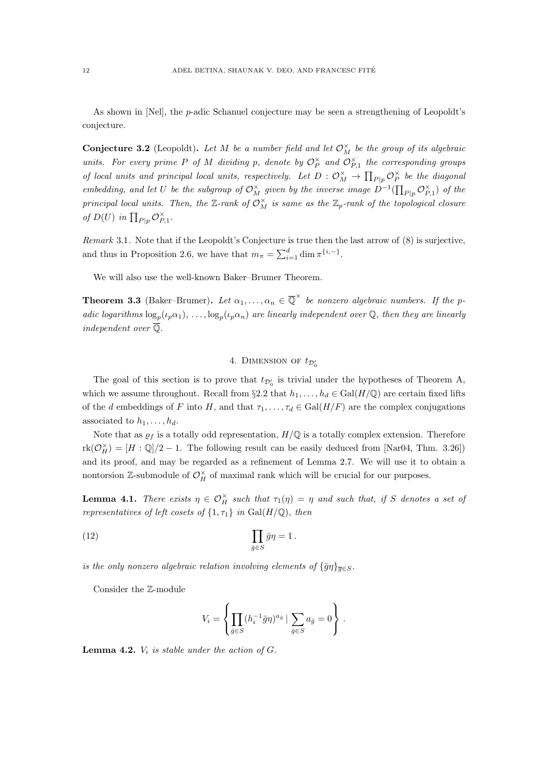As shown in [Nel], the p-adic Schanuel conjecture may be seen a strengthening of Leopoldt's conjecture.

**Conjecture 3.2** (Leopoldt). Let M be a number field and let  $\mathcal{O}_M^{\times}$  be the group of its algebraic units. For every prime P of M dividing p, denote by  $\mathcal{O}_P^{\times}$  and  $\mathcal{O}_{P,1}^{\times}$  the corresponding groups of local units and principal local units, respectively. Let  $D: \mathcal{O}_M^{\times} \to \prod_{P|p} \mathcal{O}_P^{\times}$  be the diagonal embedding, and let U be the subgroup of  $\mathcal{O}_M^{\times}$  given by the inverse image  $D^{-1}(\prod_{P|p} \mathcal{O}_{P,1}^{\times})$  of the principal local units. Then, the  $\mathbb{Z}$ -rank of  $\mathcal{O}_M^{\times}$  is same as the  $\mathbb{Z}_p$ -rank of the topological closure of  $D(U)$  in  $\prod_{P|p} \mathcal{O}_{P,1}^{\times}$ .

Remark 3.1. Note that if the Leopoldt's Conjecture is true then the last arrow of (8) is surjective, and thus in Proposition 2.6, we have that  $m_{\pi} = \sum_{i=1}^{d} \dim \pi^{\{i,-\}}$ .

We will also use the well-known Baker–Brumer Theorem.

**Theorem 3.3** (Baker–Brumer). Let  $\alpha_1, \ldots, \alpha_n \in \overline{\mathbb{Q}}^{\times}$  be nonzero algebraic numbers. If the padic logarithms  $\log_p(\ell_p \alpha_1), \ldots, \log_p(\ell_p \alpha_n)$  are linearly independent over Q, then they are linearly independent over  $\overline{\mathbb{Q}}$ .

# 4. DIMENSION OF  $t_{\mathcal{D}_0'}$

The goal of this section is to prove that  $t_{\mathcal{D}'_0}$  is trivial under the hypotheses of Theorem A, which we assume throughout. Recall from §2.2 that  $h_1, \ldots, h_d \in \text{Gal}(H/\mathbb{Q})$  are certain fixed lifts of the d embeddings of F into H, and that  $\tau_1, \ldots, \tau_d \in \text{Gal}(H/F)$  are the complex conjugations associated to  $h_1, \ldots, h_d$ .

Note that as  $\varrho_f$  is a totally odd representation,  $H/\mathbb{Q}$  is a totally complex extension. Therefore  $rk(\mathcal{O}_H^{\times}) = [H : \mathbb{Q}]/2 - 1$ . The following result can be easily deduced from [Nar04, Thm. 3.26]) and its proof, and may be regarded as a refinement of Lemma 2.7. We will use it to obtain a nontorsion  $\mathbb{Z}$ -submodule of  $\mathcal{O}_H^{\times}$  of maximal rank which will be crucial for our purposes.

**Lemma 4.1.** There exists  $\eta \in \mathcal{O}_H^{\times}$  such that  $\tau_1(\eta) = \eta$  and such that, if S denotes a set of representatives of left cosets of  $\{1, \tau_1\}$  in Gal(H/Q), then

(12) 
$$
\prod_{\bar{g}\in S} \bar{g}\eta = 1.
$$

is the only nonzero algebraic relation involving elements of  $\{\bar{g}\eta\}_{\bar{g}\in S}$ .

Consider the Z-module

$$
V_i = \left\{ \prod_{\bar{g} \in S} (h_i^{-1} \bar{g} \eta)^{a_{\bar{g}}} \mid \sum_{\bar{g} \in S} a_{\bar{g}} = 0 \right\} .
$$

**Lemma 4.2.**  $V_i$  is stable under the action of  $G$ .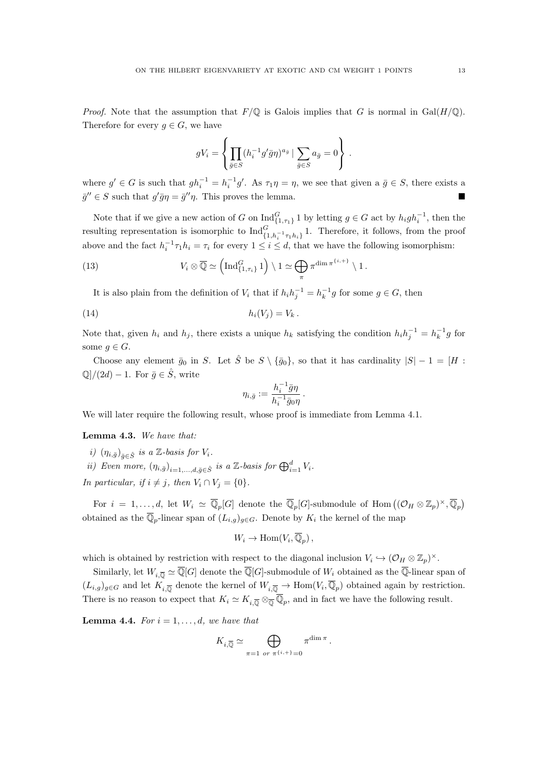*Proof.* Note that the assumption that  $F/\mathbb{Q}$  is Galois implies that G is normal in Gal( $H/\mathbb{Q}$ ). Therefore for every  $g \in G$ , we have

$$
gV_i = \left\{ \prod_{\bar{g} \in S} (h_i^{-1}g'\bar{g}\eta)^{a_{\bar{g}}} \mid \sum_{\bar{g} \in S} a_{\bar{g}} = 0 \right\} .
$$

where  $g' \in G$  is such that  $gh_i^{-1} = h_i^{-1}g'$ . As  $\tau_1 \eta = \eta$ , we see that given a  $\bar{g} \in S$ , there exists a  $\bar{g}'' \in S$  such that  $g' \bar{g} \eta = \bar{g}'' \eta$ . This proves the lemma.

Note that if we give a new action of G on  $\text{Ind}_{\{1,\tau_1\}}^G 1$  by letting  $g \in G$  act by  $h_i gh_i^{-1}$ , then the resulting representation is isomorphic to  $\text{Ind}_{\{1,h_i^{-1}\tau_1h_i\}}^G 1$ . Therefore, it follows, from the proof above and the fact  $h_i^{-1} \tau_1 h_i = \tau_i$  for every  $1 \leq i \leq d$ , that we have the following isomorphism:

(13) 
$$
V_i \otimes \overline{\mathbb{Q}} \simeq \left( \operatorname{Ind}_{\{1,\tau_i\}}^G 1 \right) \setminus 1 \simeq \bigoplus_{\pi} \pi^{\dim \pi^{\{i,+\}} \setminus 1}.
$$

It is also plain from the definition of  $V_i$  that if  $h_i h_j^{-1} = h_k^{-1} g$  for some  $g \in G$ , then

$$
(14) \t\t\t\t\t h_i(V_j) = V_k.
$$

Note that, given  $h_i$  and  $h_j$ , there exists a unique  $h_k$  satisfying the condition  $h_i h_j^{-1} = h_k^{-1} g$  for some  $q \in G$ .

Choose any element  $\bar{g}_0$  in S. Let  $\hat{S}$  be  $S \setminus {\bar{g}_0}$ , so that it has cardinality  $|S| - 1 = [H :$  $\mathbb{Q}/(2d) - 1$ . For  $\bar{g} \in \hat{S}$ , write

$$
\eta_{i,\bar{g}} := \frac{h_i^{-1}\bar{g}\eta}{h_i^{-1}\bar{g}_0\eta}.
$$

We will later require the following result, whose proof is immediate from Lemma 4.1.

### Lemma 4.3. We have that:

- i)  $(\eta_{i,\bar{g}})_{\bar{g}\in\hat{S}}$  is a Z-basis for  $V_i$ .
- ii) Even more,  $(\eta_{i,\bar{g}})_{i=1,\dots,d,\bar{g}\in\hat{S}}$  is a Z-basis for  $\bigoplus_{i=1}^d V_i$ .

In particular, if  $i \neq j$ , then  $V_i \cap V_j = \{0\}.$ 

For  $i = 1, \ldots, d$ , let  $W_i \simeq \overline{\mathbb{Q}}_p[G]$  denote the  $\overline{\mathbb{Q}}_p[G]$ -submodule of  $\text{Hom}\left((\mathcal{O}_H \otimes \mathbb{Z}_p)^\times, \overline{\mathbb{Q}}_p\right)$ obtained as the  $\overline{\mathbb{Q}}_p$ -linear span of  $(L_{i,g})_{g\in G}$ . Denote by  $K_i$  the kernel of the map

$$
W_i \to \text{Hom}(V_i, \overline{\mathbb{Q}}_p) ,
$$

which is obtained by restriction with respect to the diagonal inclusion  $V_i \hookrightarrow (\mathcal{O}_H \otimes \mathbb{Z}_p)^{\times}$ .

Similarly, let  $W_{i,\overline{Q}} \simeq \overline{\mathbb{Q}}[G]$  denote the  $\overline{\mathbb{Q}}[G]$ -submodule of  $W_i$  obtained as the  $\overline{\mathbb{Q}}$ -linear span of  $(L_{i,g})_{g\in G}$  and let  $K_{i,\overline{\mathbb{Q}}}$  denote the kernel of  $W_{i,\overline{\mathbb{Q}}} \to \text{Hom}(V_i,\overline{\mathbb{Q}}_p)$  obtained again by restriction. There is no reason to expect that  $K_i \simeq K_{i,\overline{\mathbb{Q}}} \otimes_{\overline{\mathbb{Q}}} \overline{\mathbb{Q}}_p$ , and in fact we have the following result.

**Lemma 4.4.** For  $i = 1, \ldots, d$ , we have that

$$
K_{i,\overline{\mathbb{Q}}} \simeq \bigoplus_{\pi=1 \text{ or } \pi^{\{i,+\}}=0} \pi^{\dim \pi}.
$$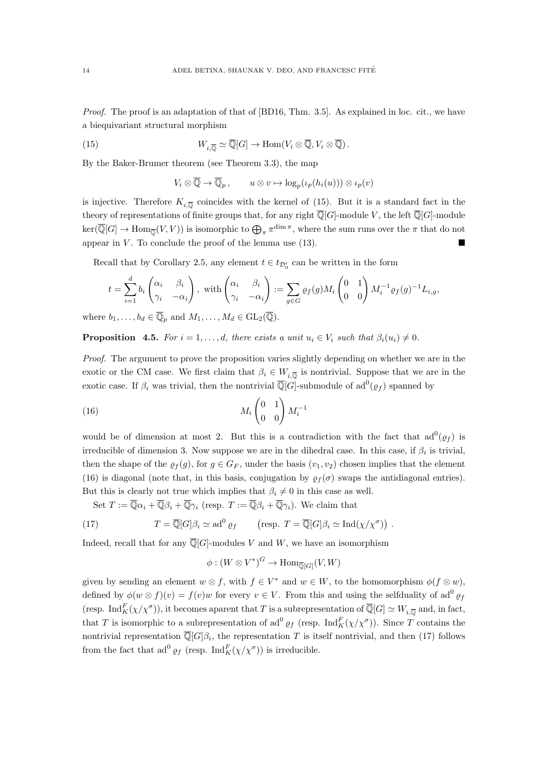Proof. The proof is an adaptation of that of [BD16, Thm. 3.5]. As explained in loc. cit., we have a biequivariant structural morphism

(15) 
$$
W_{i,\overline{\mathbb{Q}}} \simeq \overline{\mathbb{Q}}[G] \to \text{Hom}(V_i \otimes \overline{\mathbb{Q}}, V_i \otimes \overline{\mathbb{Q}}).
$$

By the Baker-Brumer theorem (see Theorem 3.3), the map

$$
V_i \otimes \overline{\mathbb{Q}} \to \overline{\mathbb{Q}}_p, \qquad u \otimes v \mapsto \log_p(\iota_p(h_i(u))) \otimes \iota_p(v)
$$

is injective. Therefore  $K_{i,\overline{\mathbb{Q}}}$  coincides with the kernel of (15). But it is a standard fact in the theory of representations of finite groups that, for any right  $\overline{\mathbb{Q}}[G]$ -module V, the left  $\overline{\mathbb{Q}}[G]$ -module  $\ker(\overline{\mathbb{Q}}[G] \to \text{Hom}_{\overline{\mathbb{Q}}}(V,V))$  is isomorphic to  $\bigoplus_{\pi} \pi^{\dim \pi}$ , where the sum runs over the  $\pi$  that do not appear in  $V$ . To conclude the proof of the lemma use  $(13)$ .

Recall that by Corollary 2.5, any element  $t \in t_{\mathcal{D}'_0}$  can be written in the form

$$
t = \sum_{i=1}^d b_i \begin{pmatrix} \alpha_i & \beta_i \\ \gamma_i & -\alpha_i \end{pmatrix}, \text{ with } \begin{pmatrix} \alpha_i & \beta_i \\ \gamma_i & -\alpha_i \end{pmatrix} := \sum_{g \in G} \varrho_f(g) M_i \begin{pmatrix} 0 & 1 \\ 0 & 0 \end{pmatrix} M_i^{-1} \varrho_f(g)^{-1} L_{i,g},
$$

where  $b_1, \ldots, b_d \in \overline{\mathbb{Q}}_p$  and  $M_1, \ldots, M_d \in GL_2(\overline{\mathbb{Q}})$ .

**Proposition 4.5.** For  $i = 1, ..., d$ , there exists a unit  $u_i \in V_i$  such that  $\beta_i(u_i) \neq 0$ .

Proof. The argument to prove the proposition varies slightly depending on whether we are in the exotic or the CM case. We first claim that  $\beta_i \in W_{i,\overline{Q}}$  is nontrivial. Suppose that we are in the exotic case. If  $\beta_i$  was trivial, then the nontrivial  $\overline{\mathbb{Q}}[G]$ -submodule of ad $^0(\varrho_f)$  spanned by

$$
(16)\qquad \qquad M_i \begin{pmatrix} 0 & 1 \\ 0 & 0 \end{pmatrix} M_i^{-1}
$$

would be of dimension at most 2. But this is a contradiction with the fact that  $ad^0(\varrho_f)$  is irreducible of dimension 3. Now suppose we are in the dihedral case. In this case, if  $\beta_i$  is trivial, then the shape of the  $\varrho_f(g)$ , for  $g \in G_F$ , under the basis  $(v_1, v_2)$  chosen implies that the element (16) is diagonal (note that, in this basis, conjugation by  $\rho_f(\sigma)$  swaps the antidiagonal entries). But this is clearly not true which implies that  $\beta_i \neq 0$  in this case as well.

Set  $T := \overline{\mathbb{Q}}\alpha_i + \overline{\mathbb{Q}}\beta_i + \overline{\mathbb{Q}}\gamma_i$  (resp.  $T := \overline{\mathbb{Q}}\beta_i + \overline{\mathbb{Q}}\gamma_i$ ). We claim that

(17) 
$$
T = \overline{\mathbb{Q}}[G]\beta_i \simeq \mathrm{ad}^0 \, \varrho_f \qquad \left(\text{resp. } T = \overline{\mathbb{Q}}[G]\beta_i \simeq \mathrm{Ind}(\chi/\chi^{\sigma})\right) .
$$

Indeed, recall that for any  $\overline{\mathbb{Q}}[G]$ -modules V and W, we have an isomorphism

$$
\phi: (W \otimes V^*)^G \to \text{Hom}_{\overline{\mathbb{Q}}[G]}(V, W)
$$

given by sending an element  $w \otimes f$ , with  $f \in V^*$  and  $w \in W$ , to the homomorphism  $\phi(f \otimes w)$ , defined by  $\phi(w \otimes f)(v) = f(v)w$  for every  $v \in V$ . From this and using the selfduality of ad<sup>0</sup>  $\varrho_f$ (resp.  $\text{Ind}_{K}^{F}(\chi/\chi^{\sigma})$ ), it becomes aparent that T is a subrepresentation of  $\overline{\mathbb{Q}}[G] \simeq W_{i,\overline{\mathbb{Q}}}$  and, in fact, that T is isomorphic to a subrepresentation of  $\mathrm{ad}^{0} \varrho_{f}$  (resp.  $\mathrm{Ind}_{K}^{F}(\chi/\chi^{\sigma})$ ). Since T contains the nontrivial representation  $\overline{\mathbb{Q}}[G]\beta_i$ , the representation T is itself nontrivial, and then (17) follows from the fact that  $ad^0 \varrho_f$  (resp.  $\mathrm{Ind}_K^F(\chi/\chi^{\sigma}))$ ) is irreducible.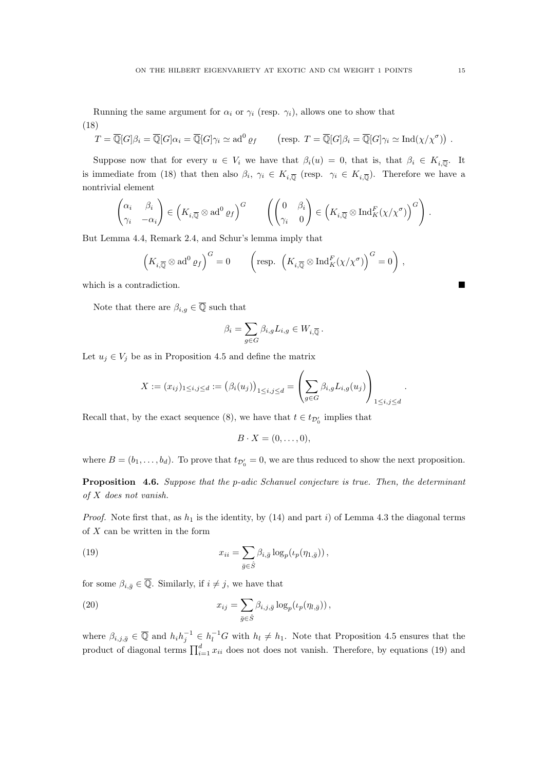(18)  
\n
$$
T = \overline{\mathbb{Q}}[G]\beta_i = \overline{\mathbb{Q}}[G]\alpha_i = \overline{\mathbb{Q}}[G]\gamma_i \simeq \mathrm{ad}^0 \varrho_f \qquad \text{(resp. } T = \overline{\mathbb{Q}}[G]\beta_i = \overline{\mathbb{Q}}[G]\gamma_i \simeq \mathrm{Ind}(\chi/\chi^{\sigma})\text{)}.
$$

Suppose now that for every  $u \in V_i$  we have that  $\beta_i(u) = 0$ , that is, that  $\beta_i \in K_{i,\overline{Q}}$ . It is immediate from (18) that then also  $\beta_i$ ,  $\gamma_i \in K_{i,\overline{\mathbb{Q}}}$  (resp.  $\gamma_i \in K_{i,\overline{\mathbb{Q}}}$ ). Therefore we have a nontrivial element

$$
\begin{pmatrix} \alpha_i & \beta_i \\ \gamma_i & -\alpha_i \end{pmatrix} \in \left( K_{i,\overline{\mathbb{Q}}} \otimes \mathrm{ad}^0 \varrho_f \right)^G \qquad \left( \begin{pmatrix} 0 & \beta_i \\ \gamma_i & 0 \end{pmatrix} \in \left( K_{i,\overline{\mathbb{Q}}} \otimes \mathrm{Ind}_K^F(\chi/\chi^{\sigma}) \right)^G \right) .
$$

But Lemma 4.4, Remark 2.4, and Schur's lemma imply that

$$
\left(K_{i,\overline{\mathbb{Q}}}\otimes \mathrm{ad}^0\,\varrho_f\right)^G=0\qquad\left(\text{resp. }\left(K_{i,\overline{\mathbb{Q}}}\otimes \mathrm{Ind}_K^F(\chi/\chi^\sigma)\right)^G=0\right)\,,
$$

which is a contradiction.

Note that there are  $\beta_{i,g} \in \overline{\mathbb{Q}}$  such that

$$
\beta_i=\sum_{g\in G}\beta_{i,g}L_{i,g}\in W_{i,\overline{\mathbb{Q}}} \, .
$$

Let  $u_j \in V_j$  be as in Proposition 4.5 and define the matrix

$$
X := (x_{ij})_{1 \le i,j \le d} := (\beta_i(u_j))_{1 \le i,j \le d} = \left(\sum_{g \in G} \beta_{i,g} L_{i,g}(u_j)\right)_{1 \le i,j \le d}.
$$

Recall that, by the exact sequence (8), we have that  $t \in t_{\mathcal{D}'_0}$  implies that

$$
B \cdot X = (0, \ldots, 0),
$$

where  $B = (b_1, \ldots, b_d)$ . To prove that  $t_{\mathcal{D}'_0} = 0$ , we are thus reduced to show the next proposition.

Proposition 4.6. Suppose that the p-adic Schanuel conjecture is true. Then, the determinant of X does not vanish.

*Proof.* Note first that, as  $h_1$  is the identity, by (14) and part i) of Lemma 4.3 the diagonal terms of  $X$  can be written in the form

(19) 
$$
x_{ii} = \sum_{\bar{g} \in \hat{S}} \beta_{i,\bar{g}} \log_p(\iota_p(\eta_{1,\bar{g}})),
$$

for some  $\beta_{i,\bar{g}} \in \overline{\mathbb{Q}}$ . Similarly, if  $i \neq j$ , we have that

(20) 
$$
x_{ij} = \sum_{\bar{g} \in \hat{S}} \beta_{i,j,\bar{g}} \log_p(\iota_p(\eta_{l,\bar{g}})),
$$

where  $\beta_{i,j,\bar{g}} \in \overline{\mathbb{Q}}$  and  $h_i h_j^{-1} \in h_l^{-1}G$  with  $h_l \neq h_1$ . Note that Proposition 4.5 ensures that the product of diagonal terms  $\prod_{i=1}^{d} x_{ii}$  does not does not vanish. Therefore, by equations (19) and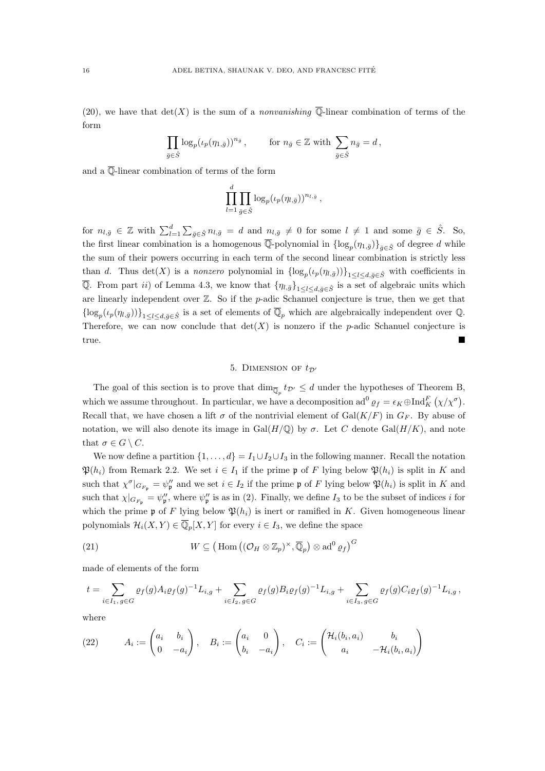(20), we have that  $\det(X)$  is the sum of a *nonvanishing*  $\overline{\mathbb{Q}}$ -linear combination of terms of the form

$$
\prod_{\bar{g}\in\hat{S}} \log_p(\iota_p(\eta_{1,\bar{g}}))^{n_{\bar{g}}}, \quad \text{for } n_{\bar{g}}\in\mathbb{Z} \text{ with } \sum_{\bar{g}\in\hat{S}} n_{\bar{g}} = d,
$$

and a  $\overline{\mathbb{Q}}$ -linear combination of terms of the form

$$
\prod_{l=1}^d \prod_{\bar{g} \in \hat{S}} \log_p(\iota_p(\eta_{l,\bar{g}}))^{n_{l,\bar{g}}},
$$

for  $n_{l,\bar{g}} \in \mathbb{Z}$  with  $\sum_{l=1}^{d} \sum_{\bar{g} \in \hat{S}} n_{l,\bar{g}} = d$  and  $n_{l,\bar{g}} \neq 0$  for some  $l \neq 1$  and some  $\bar{g} \in \hat{S}$ . So, the first linear combination is a homogenous  $\overline{\mathbb{Q}}$ -polynomial in  $\{\log_p(\eta_{1,\bar{g}})\}_{\bar{g}\in\hat{S}}$  of degree d while the sum of their powers occurring in each term of the second linear combination is strictly less than d. Thus det(X) is a nonzero polynomial in  $\{\log_p(\iota_p(\eta_{l,\bar{g}}))\}_{1\leq l\leq d,\bar{g}\in\hat{S}}$  with coefficients in  $\overline{Q}$ . From part *ii*) of Lemma 4.3, we know that  $\{\eta_{l,\bar{g}}\}_{1\leq l\leq d,\bar{g}\in\hat{S}}$  is a set of algebraic units which are linearly independent over Z. So if the p-adic Schanuel conjecture is true, then we get that  $\{\log_p(\iota_p(\eta_{l,\bar{g}}))\}_{1\leq l\leq d,\bar{g}\in\hat{S}}\}$  is a set of elements of  $\overline{\mathbb{Q}}_p$  which are algebraically independent over  $\mathbb{Q}$ . Therefore, we can now conclude that  $\det(X)$  is nonzero if the p-adic Schanuel conjecture is true.

## 5. DIMENSION OF  $t_{\mathcal{D}}$ <sup>1</sup>

The goal of this section is to prove that  $\dim_{\overline{\mathbb{Q}}_p} t_{\mathcal{D}'} \leq d$  under the hypotheses of Theorem B, which we assume throughout. In particular, we have a decomposition ad<sup>0</sup>  $\rho_f = \epsilon_K \oplus \text{Ind}_K^F(\chi/\chi^{\sigma})$ . Recall that, we have chosen a lift  $\sigma$  of the nontrivial element of  $Gal(K/F)$  in  $G_F$ . By abuse of notation, we will also denote its image in Gal $(H/\mathbb{Q})$  by  $\sigma$ . Let C denote Gal $(H/K)$ , and note that  $\sigma \in G \setminus C$ .

We now define a partition  $\{1, \ldots, d\} = I_1 \cup I_2 \cup I_3$  in the following manner. Recall the notation  $\mathfrak{P}(h_i)$  from Remark 2.2. We set  $i \in I_1$  if the prime p of F lying below  $\mathfrak{P}(h_i)$  is split in K and such that  $\chi^{\sigma}|_{G_{F_{\mathfrak{p}}}} = \psi_{\mathfrak{p}}''$  and we set  $i \in I_2$  if the prime  $\mathfrak{p}$  of F lying below  $\mathfrak{P}(h_i)$  is split in K and such that  $\chi|_{G_{F_{\mathfrak{p}}}} = \psi_{\mathfrak{p}}''$ , where  $\psi_{\mathfrak{p}}''$  is as in (2). Finally, we define  $I_3$  to be the subset of indices i for which the prime p of F lying below  $\mathfrak{P}(h_i)$  is inert or ramified in K. Given homogeneous linear polynomials  $\mathcal{H}_i(X,Y) \in \overline{\mathbb{Q}}_p[X,Y]$  for every  $i \in I_3$ , we define the space

(21) 
$$
W \subseteq (\text{Hom } ((\mathcal{O}_H \otimes \mathbb{Z}_p)^\times, \overline{\mathbb{Q}}_p) \otimes \text{ad}^0 \varrho_f)^G
$$

made of elements of the form

$$
t = \sum_{i \in I_1, g \in G} \varrho_f(g) A_i \varrho_f(g)^{-1} L_{i,g} + \sum_{i \in I_2, g \in G} \varrho_f(g) B_i \varrho_f(g)^{-1} L_{i,g} + \sum_{i \in I_3, g \in G} \varrho_f(g) C_i \varrho_f(g)^{-1} L_{i,g},
$$

where

(22) 
$$
A_i := \begin{pmatrix} a_i & b_i \\ 0 & -a_i \end{pmatrix}, \quad B_i := \begin{pmatrix} a_i & 0 \\ b_i & -a_i \end{pmatrix}, \quad C_i := \begin{pmatrix} \mathcal{H}_i(b_i, a_i) & b_i \\ a_i & -\mathcal{H}_i(b_i, a_i) \end{pmatrix}
$$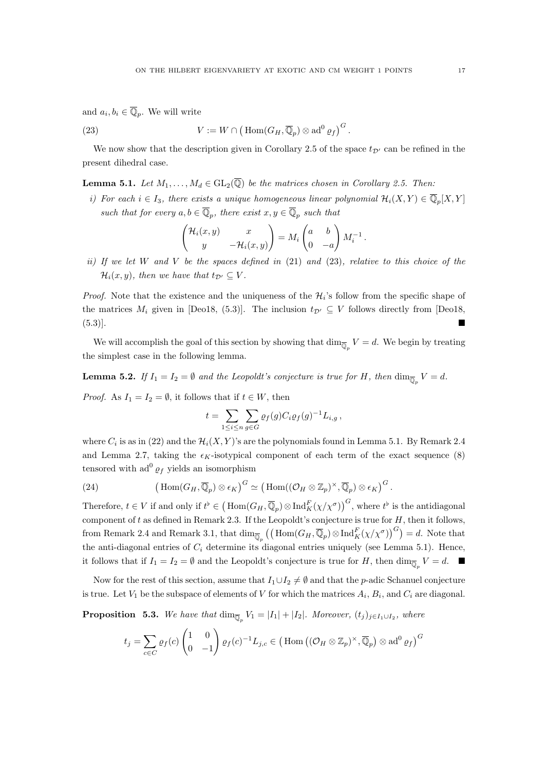and  $a_i, b_i \in \overline{\mathbb{Q}}_p$ . We will write

(23) 
$$
V := W \cap (\operatorname{Hom}(G_H, \overline{\mathbb{Q}}_p) \otimes \mathrm{ad}^0 \varrho_f)^G.
$$

We now show that the description given in Corollary 2.5 of the space  $t_{\mathcal{D}'}$  can be refined in the present dihedral case.

**Lemma 5.1.** Let  $M_1, \ldots, M_d \in GL_2(\overline{\mathbb{Q}})$  be the matrices chosen in Corollary 2.5. Then:

i) For each  $i \in I_3$ , there exists a unique homogeneous linear polynomial  $\mathcal{H}_i(X,Y) \in \overline{\mathbb{Q}}_p[X,Y]$ such that for every  $a, b \in \overline{\mathbb{Q}}_p$ , there exist  $x, y \in \overline{\mathbb{Q}}_p$  such that

$$
\begin{pmatrix} \mathcal{H}_i(x,y) & x \\ y & -\mathcal{H}_i(x,y) \end{pmatrix} = M_i \begin{pmatrix} a & b \\ 0 & -a \end{pmatrix} M_i^{-1}.
$$

ii) If we let W and V be the spaces defined in  $(21)$  and  $(23)$ , relative to this choice of the  $\mathcal{H}_i(x, y)$ , then we have that  $t_{\mathcal{D}'} \subseteq V$ .

*Proof.* Note that the existence and the uniqueness of the  $\mathcal{H}_i$ 's follow from the specific shape of the matrices  $M_i$  given in [Deo18, (5.3)]. The inclusion  $t_{\mathcal{D}} \subseteq V$  follows directly from [Deo18, (5.3)].

We will accomplish the goal of this section by showing that  $\dim_{\overline{\mathbb{Q}}_p} V = d$ . We begin by treating the simplest case in the following lemma.

**Lemma 5.2.** If  $I_1 = I_2 = \emptyset$  and the Leopoldt's conjecture is true for H, then  $\dim_{\overline{\mathbb{Q}}_p} V = d$ .

*Proof.* As  $I_1 = I_2 = \emptyset$ , it follows that if  $t \in W$ , then

$$
t = \sum_{1 \leq i \leq n} \sum_{g \in G} \varrho_f(g) C_i \varrho_f(g)^{-1} L_{i,g},
$$

where  $C_i$  is as in (22) and the  $\mathcal{H}_i(X, Y)$ 's are the polynomials found in Lemma 5.1. By Remark 2.4 and Lemma 2.7, taking the  $\epsilon_K$ -isotypical component of each term of the exact sequence (8) tensored with  $ad^0 \varrho_f$  yields an isomorphism

(24) 
$$
\left(\operatorname{Hom}(G_H,\overline{\mathbb{Q}}_p)\otimes\epsilon_K\right)^G\simeq \left(\operatorname{Hom}((\mathcal{O}_H\otimes\mathbb{Z}_p)^{\times},\overline{\mathbb{Q}}_p)\otimes\epsilon_K\right)^G.
$$

Therefore,  $t \in V$  if and only if  $t^{\flat} \in (\text{Hom}(G_H, \overline{\mathbb{Q}}_p) \otimes \text{Ind}_K^F(\chi/\chi^{\sigma}))^G$ , where  $t^{\flat}$  is the antidiagonal component of t as defined in Remark 2.3. If the Leopoldt's conjecture is true for  $H$ , then it follows, from Remark 2.4 and Remark 3.1, that  $\dim_{\overline{\mathbb{Q}}_p}((\text{Hom}(G_H,\overline{\mathbb{Q}}_p)\otimes \text{Ind}_K^F(\chi/\chi^\sigma))^G)=d$ . Note that the anti-diagonal entries of  $C_i$  determine its diagonal entries uniquely (see Lemma 5.1). Hence, it follows that if  $I_1 = I_2 = \emptyset$  and the Leopoldt's conjecture is true for H, then  $\dim_{\overline{\mathbb{Q}}_p} V = d$ .

Now for the rest of this section, assume that  $I_1 \cup I_2 \neq \emptyset$  and that the p-adic Schanuel conjecture is true. Let  $V_1$  be the subspace of elements of V for which the matrices  $A_i$ ,  $B_i$ , and  $C_i$  are diagonal.

**Proposition** 5.3. We have that  $\dim_{\overline{Q}_p} V_1 = |I_1| + |I_2|$ . Moreover,  $(t_j)_{j \in I_1 \cup I_2}$ , where

$$
t_j = \sum_{c \in C} \varrho_f(c) \begin{pmatrix} 1 & 0 \\ 0 & -1 \end{pmatrix} \varrho_f(c)^{-1} L_{j,c} \in \left( \text{Hom} \left( (\mathcal{O}_H \otimes \mathbb{Z}_p)^\times, \overline{\mathbb{Q}}_p \right) \otimes \text{ad}^0 \varrho_f \right)^G
$$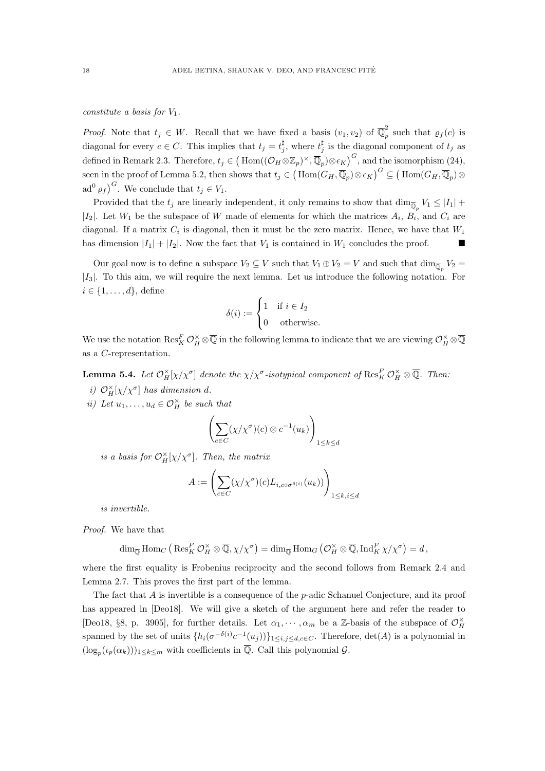constitute a basis for  $V_1$ .

*Proof.* Note that  $t_j \in W$ . Recall that we have fixed a basis  $(v_1, v_2)$  of  $\overline{\mathbb{Q}}_p^2$  $\int_{p}^{\infty}$  such that  $\rho_f(c)$  is diagonal for every  $c \in C$ . This implies that  $t_j = t_j^{\sharp}$ , where  $t_j^{\sharp}$  is the diagonal component of  $t_j$  as defined in Remark 2.3. Therefore,  $t_j \in (\text{Hom}((\mathcal{O}_H \otimes \mathbb{Z}_p)^{\times}, \overline{\mathbb{Q}}_p) \otimes \epsilon_K)^G$ , and the isomorphism  $(24)$ , seen in the proof of Lemma 5.2, then shows that  $t_j \in (\text{Hom}(G_H, \overline{\mathbb{Q}}_p) \otimes \epsilon_K)^G \subseteq (\text{Hom}(G_H, \overline{\mathbb{Q}}_p) \otimes \epsilon_K)$ ad<sup>0</sup>  $\varrho_f$ <sup>G</sup>. We conclude that  $t_j \in V_1$ .

Provided that the  $t_j$  are linearly independent, it only remains to show that  $\dim_{\overline{\mathbb{Q}}_p} V_1 \leq |I_1| +$  $|I_2|$ . Let  $W_1$  be the subspace of W made of elements for which the matrices  $A_i$ ,  $B_i$ , and  $C_i$  are diagonal. If a matrix  $C_i$  is diagonal, then it must be the zero matrix. Hence, we have that  $W_1$ has dimension  $|I_1| + |I_2|$ . Now the fact that  $V_1$  is contained in  $W_1$  concludes the proof.

Our goal now is to define a subspace  $V_2 \subseteq V$  such that  $V_1 \oplus V_2 = V$  and such that  $\dim_{\overline{\mathbb{Q}}_p} V_2 =$  $|I_3|$ . To this aim, we will require the next lemma. Let us introduce the following notation. For  $i \in \{1, \ldots, d\}$ , define

$$
\delta(i) := \begin{cases} 1 & \text{if } i \in I_2 \\ 0 & \text{otherwise.} \end{cases}
$$

We use the notation  $\text{Res}_{K}^{F}\mathcal{O}_{H}^{\times}\otimes\overline{\mathbb{Q}}$  in the following lemma to indicate that we are viewing  $\mathcal{O}_{H}^{\times}\otimes\overline{\mathbb{Q}}$ as a C-representation.

**Lemma 5.4.** Let  $\mathcal{O}_H^{\times}[\chi/\chi^{\sigma}]$  denote the  $\chi/\chi^{\sigma}$ -isotypical component of  $\mathrm{Res}_K^F \mathcal{O}_H^{\times} \otimes \overline{\mathbb{Q}}$ . Then:

i)  $\mathcal{O}_H^{\times}[\chi/\chi^{\sigma}]$  has dimension d.

ii) Let  $u_1, \ldots, u_d \in \mathcal{O}_H^{\times}$  be such that

$$
\left(\sum_{c \in C} (\chi/\chi^{\sigma})(c) \otimes c^{-1}(u_k)\right)_{1 \leq k \leq d}
$$

is a basis for  $\mathcal{O}_H^{\times}[\chi/\chi^{\sigma}]$ . Then, the matrix

$$
A := \left( \sum_{c \in C} (\chi / \chi^{\sigma})(c) L_{i, c \circ \sigma^{\delta(i)}}(u_k)) \right)_{1 \leq k, i \leq d}
$$

is invertible.

Proof. We have that

$$
\dim_{\overline{\mathbb{Q}}} \text{Hom}_C \left( \text{Res}_K^F \mathcal{O}_H^{\times} \otimes \overline{\mathbb{Q}}, \chi/\chi^{\sigma} \right) = \dim_{\overline{\mathbb{Q}}} \text{Hom}_G \left( \mathcal{O}_H^{\times} \otimes \overline{\mathbb{Q}}, \text{Ind}_K^F \chi/\chi^{\sigma} \right) = d,
$$

where the first equality is Frobenius reciprocity and the second follows from Remark 2.4 and Lemma 2.7. This proves the first part of the lemma.

The fact that  $A$  is invertible is a consequence of the p-adic Schanuel Conjecture, and its proof has appeared in [Deo18]. We will give a sketch of the argument here and refer the reader to [Deo18, §8, p. 3905], for further details. Let  $\alpha_1, \dots, \alpha_m$  be a Z-basis of the subspace of  $\mathcal{O}_H^{\times}$ spanned by the set of units  $\{h_i(\sigma^{-\delta(i)}c^{-1}(u_j))\}_{1\leq i,j\leq d,c\in C}$ . Therefore,  $\det(A)$  is a polynomial in  $(\log_p(\iota_p(\alpha_k)))_{1\leq k\leq m}$  with coefficients in  $\overline{\mathbb{Q}}$ . Call this polynomial  $\mathcal{G}$ .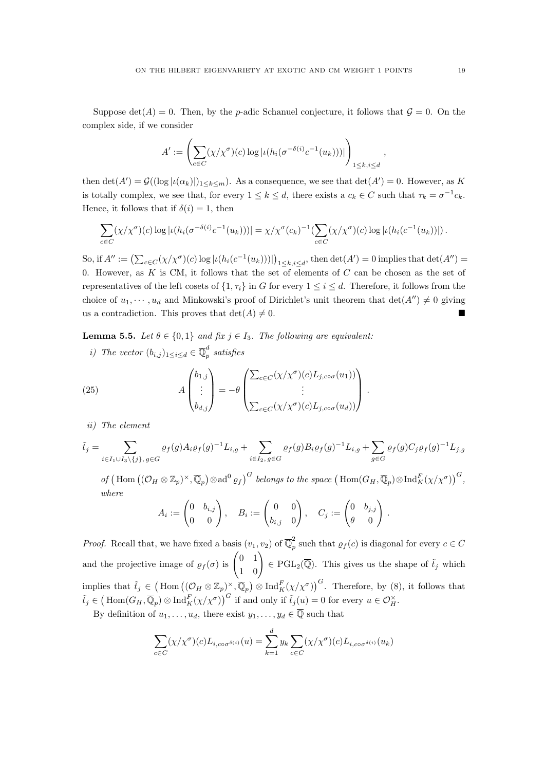Suppose  $\det(A) = 0$ . Then, by the *p*-adic Schanuel conjecture, it follows that  $\mathcal{G} = 0$ . On the complex side, if we consider

$$
A' := \left( \sum_{c \in C} (\chi/\chi^{\sigma})(c) \log |\iota(h_i(\sigma^{-\delta(i)} c^{-1}(u_k)))| \right)_{1 \leq k, i \leq d}
$$

then  $\det(A') = \mathcal{G}((\log | \iota(\alpha_k)|)_{1 \leq k \leq m})$ . As a consequence, we see that  $\det(A') = 0$ . However, as K is totally complex, we see that, for every  $1 \leq k \leq d$ , there exists a  $c_k \in C$  such that  $\tau_k = \sigma^{-1} c_k$ . Hence, it follows that if  $\delta(i) = 1$ , then

$$
\sum_{c \in C} (\chi/\chi^{\sigma})(c) \log |\iota(h_i(\sigma^{-\delta(i)}c^{-1}(u_k)))| = \chi/\chi^{\sigma}(c_k)^{-1} \left(\sum_{c \in C} (\chi/\chi^{\sigma})(c) \log |\iota(h_i(c^{-1}(u_k))|\right).
$$

So, if  $A'' := \left(\sum_{c \in C} (\chi/\chi^{\sigma})(c) \log |\iota(h_i(c^{-1}(u_k)))| \right)_{1 \leq k, i \leq d}$ , then  $\det(A') = 0$  implies that  $\det(A'') = 0$ 0. However, as  $K$  is CM, it follows that the set of elements of  $C$  can be chosen as the set of representatives of the left cosets of  $\{1, \tau_i\}$  in G for every  $1 \leq i \leq d$ . Therefore, it follows from the choice of  $u_1, \dots, u_d$  and Minkowski's proof of Dirichlet's unit theorem that  $\det(A'') \neq 0$  giving us a contradiction. This proves that  $\det(A) \neq 0$ .

**Lemma 5.5.** Let  $\theta \in \{0, 1\}$  and fix  $j \in I_3$ . The following are equivalent:

i) The vector  $(b_{i,j})_{1 \leq i \leq d} \in \overline{\mathbb{Q}}_p^d$  $\int_{p}^{a} satisfies$ 

(25) 
$$
A \begin{pmatrix} b_{1,j} \\ \vdots \\ b_{d,j} \end{pmatrix} = -\theta \begin{pmatrix} \sum_{c \in C} (\chi/\chi^{\sigma})(c) L_{j, c \circ \sigma}(u_1)) \\ \vdots \\ \sum_{c \in C} (\chi/\chi^{\sigma})(c) L_{j, c \circ \sigma}(u_d)) \end{pmatrix}.
$$

ii) The element

$$
\tilde{t}_j = \sum_{i \in I_1 \cup I_3 \setminus \{j\}, g \in G} \varrho_f(g) A_i \varrho_f(g)^{-1} L_{i,g} + \sum_{i \in I_2, g \in G} \varrho_f(g) B_i \varrho_f(g)^{-1} L_{i,g} + \sum_{g \in G} \varrho_f(g) C_j \varrho_f(g)^{-1} L_{j,g}
$$

of  $(\text{Hom}((\mathcal{O}_H \otimes \mathbb{Z}_p)^{\times}, \overline{\mathbb{Q}}_p) \otimes \text{ad}^0 \varrho_f)^G$  belongs to the space  $(\text{Hom}(G_H, \overline{\mathbb{Q}}_p) \otimes \text{Ind}_K^F(\chi/\chi^{\sigma}))^G$ , where

$$
A_i := \begin{pmatrix} 0 & b_{i,j} \\ 0 & 0 \end{pmatrix}, \quad B_i := \begin{pmatrix} 0 & 0 \\ b_{i,j} & 0 \end{pmatrix}, \quad C_j := \begin{pmatrix} 0 & b_{j,j} \\ \theta & 0 \end{pmatrix}.
$$

*Proof.* Recall that, we have fixed a basis  $(v_1, v_2)$  of  $\overline{\mathbb{Q}}_p^2$  $p_p^2$  such that  $\varrho_f(c)$  is diagonal for every  $c \in C$ and the projective image of  $\varrho_f(\sigma)$  is  $\begin{pmatrix} 0 & 1 \\ 1 & 0 \end{pmatrix} \in \text{PGL}_2(\overline{\mathbb{Q}})$ . This gives us the shape of  $\tilde{t}_j$  which implies that  $\tilde{t}_j \in (\text{Hom }((\mathcal{O}_H \otimes \mathbb{Z}_p)^{\times}, \overline{\mathbb{Q}}_p) \otimes \text{Ind}_K^F(\chi/\chi^{\sigma}))^G$ . Therefore, by (8), it follows that  $\tilde{t}_j \in (\text{Hom}(G_H,\overline{\mathbb{Q}}_p) \otimes \text{Ind}_K^F(\chi/\chi^{\sigma}))^G$  if and only if  $\tilde{t}_j(u) = 0$  for every  $u \in \mathcal{O}_H^{\times}$ .

By definition of  $u_1, \ldots, u_d$ , there exist  $y_1, \ldots, y_d \in \overline{\mathbb{Q}}$  such that

$$
\sum_{c \in C} (\chi/\chi^{\sigma})(c) L_{i, c \circ \sigma^{\delta(i)}}(u) = \sum_{k=1}^{d} y_k \sum_{c \in C} (\chi/\chi^{\sigma})(c) L_{i, c \circ \sigma^{\delta(i)}}(u_k)
$$

,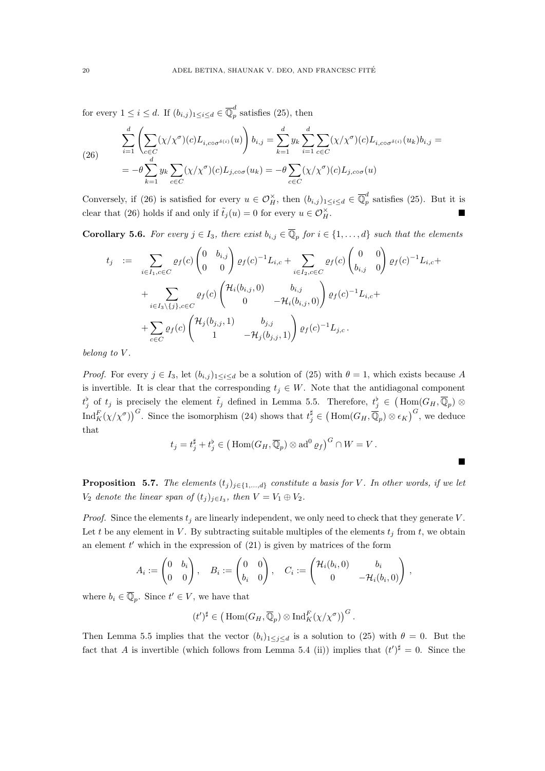for every  $1 \leq i \leq d$ . If  $(b_{i,j})_{1 \leq i \leq d} \in \overline{\mathbb{Q}}_p^d$  $_{p}^{^{\alpha}}$  satisfies (25), then

(26) 
$$
\sum_{i=1}^{d} \left( \sum_{c \in C} (\chi/\chi^{\sigma})(c) L_{i, c \circ \sigma^{\delta(i)}}(u) \right) b_{i,j} = \sum_{k=1}^{d} y_k \sum_{i=1}^{d} \sum_{c \in C} (\chi/\chi^{\sigma})(c) L_{i, c \circ \sigma^{\delta(i)}}(u_k) b_{i,j} = -\theta \sum_{k=1}^{d} y_k \sum_{c \in C} (\chi/\chi^{\sigma})(c) L_{j, c \circ \sigma}(u_k) = -\theta \sum_{c \in C} (\chi/\chi^{\sigma})(c) L_{j, c \circ \sigma}(u)
$$

Conversely, if (26) is satisfied for every  $u \in \mathcal{O}_H^{\times}$ , then  $(b_{i,j})_{1 \leq i \leq d} \in \overline{\mathbb{Q}}_p^d$  $p_p^{\alpha}$  satisfies (25). But it is clear that (26) holds if and only if  $\tilde{t}_j(u) = 0$  for every  $u \in \mathcal{O}_H^{\times}$ .  $H^{\times}$ 

**Corollary 5.6.** For every  $j \in I_3$ , there exist  $b_{i,j} \in \overline{\mathbb{Q}}_p$  for  $i \in \{1, ..., d\}$  such that the elements

$$
t_j := \sum_{i \in I_1, c \in C} \varrho_f(c) \begin{pmatrix} 0 & b_{i,j} \\ 0 & 0 \end{pmatrix} \varrho_f(c)^{-1} L_{i,c} + \sum_{i \in I_2, c \in C} \varrho_f(c) \begin{pmatrix} 0 & 0 \\ b_{i,j} & 0 \end{pmatrix} \varrho_f(c)^{-1} L_{i,c} + \sum_{i \in I_3 \setminus \{j\}, c \in C} \varrho_f(c) \begin{pmatrix} \mathcal{H}_i(b_{i,j}, 0) & b_{i,j} \\ 0 & -\mathcal{H}_i(b_{i,j}, 0) \end{pmatrix} \varrho_f(c)^{-1} L_{i,c} + \sum_{c \in C} \varrho_f(c) \begin{pmatrix} \mathcal{H}_j(b_{j,j}, 1) & b_{j,j} \\ 1 & -\mathcal{H}_j(b_{j,j}, 1) \end{pmatrix} \varrho_f(c)^{-1} L_{j,c}.
$$

belong to V.

*Proof.* For every  $j \in I_3$ , let  $(b_{i,j})_{1 \leq i \leq d}$  be a solution of (25) with  $\theta = 1$ , which exists because A is invertible. It is clear that the corresponding  $t_j \in W$ . Note that the antidiagonal component  $t_j^b$  of  $t_j$  is precisely the element  $\tilde{t}_j$  defined in Lemma 5.5. Therefore,  $t_j^b \in (\text{Hom}(G_H, \overline{\mathbb{Q}}_p) \otimes$  $\text{Ind}_{K}^{F}(\chi/\chi^{\sigma})\big)^{G}$ . Since the isomorphism (24) shows that  $t_j^{\sharp} \in (\text{Hom}(G_H, \overline{\mathbb{Q}}_p) \otimes \epsilon_K)^{G}$ , we deduce that

$$
t_j = t_j^{\sharp} + t_j^{\flat} \in \left( \text{Hom}(G_H, \overline{\mathbb{Q}}_p) \otimes \text{ad}^0 \varrho_f \right)^G \cap W = V.
$$

п

**Proposition 5.7.** The elements  $(t_j)_{j\in\{1,\ldots,d\}}$  constitute a basis for V. In other words, if we let  $V_2$  denote the linear span of  $(t_j)_{j\in I_3}$ , then  $V = V_1 \oplus V_2$ .

*Proof.* Since the elements  $t_j$  are linearly independent, we only need to check that they generate V. Let t be any element in V. By subtracting suitable multiples of the elements  $t_j$  from t, we obtain an element  $t'$  which in the expression of  $(21)$  is given by matrices of the form

$$
A_i := \begin{pmatrix} 0 & b_i \\ 0 & 0 \end{pmatrix}, \quad B_i := \begin{pmatrix} 0 & 0 \\ b_i & 0 \end{pmatrix}, \quad C_i := \begin{pmatrix} \mathcal{H}_i(b_i, 0) & b_i \\ 0 & -\mathcal{H}_i(b_i, 0) \end{pmatrix},
$$

where  $b_i \in \overline{\mathbb{Q}}_p$ . Since  $t' \in V$ , we have that

$$
(t')^{\sharp} \in \left(\operatorname{Hom}(G_H, \overline{\mathbb{Q}}_p) \otimes \operatorname{Ind}_K^F(\chi/\chi^{\sigma})\right)^G.
$$

Then Lemma 5.5 implies that the vector  $(b_i)_{1\leq j\leq d}$  is a solution to (25) with  $\theta = 0$ . But the fact that A is invertible (which follows from Lemma 5.4 (ii)) implies that  $(t')^{\sharp} = 0$ . Since the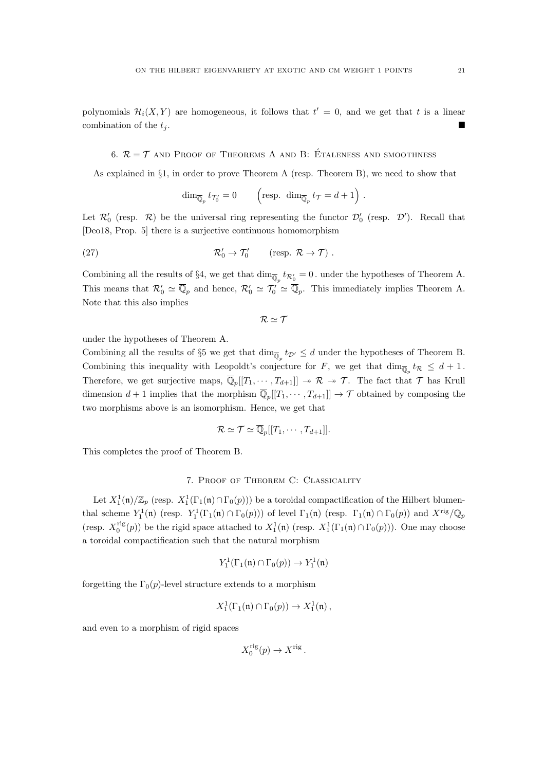polynomials  $\mathcal{H}_i(X, Y)$  are homogeneous, it follows that  $t' = 0$ , and we get that t is a linear combination of the  $t_i$ .

### 6.  $\mathcal{R} = \mathcal{T}$  and Proof of Theorems A and B: Étaleness and smoothness

As explained in §1, in order to prove Theorem A (resp. Theorem B), we need to show that

$$
\dim_{\overline{\mathbb{Q}}_p} t_{\mathcal{T}'_0} = 0 \qquad \left(\text{resp. } \dim_{\overline{\mathbb{Q}}_p} t_{\mathcal{T}} = d + 1\right).
$$

Let  $\mathcal{R}'_0$  (resp.  $\mathcal{R}$ ) be the universal ring representing the functor  $\mathcal{D}'_0$  (resp.  $\mathcal{D}'$ ). Recall that [Deo18, Prop. 5] there is a surjective continuous homomorphism

(27) 
$$
\mathcal{R}'_0 \to \mathcal{T}'_0
$$
 (resp.  $\mathcal{R} \to \mathcal{T}$ ).

Combining all the results of §4, we get that  $\dim_{\overline{\mathbb{Q}}_p} t_{\mathcal{R}_0'} = 0$ . under the hypotheses of Theorem A. This means that  $\mathcal{R}'_0 \simeq \overline{\mathbb{Q}}_p$  and hence,  $\mathcal{R}'_0 \simeq \mathcal{T}'_0 \simeq \overline{\mathbb{Q}}_p$ . This immediately implies Theorem A. Note that this also implies

 $R \simeq T$ 

under the hypotheses of Theorem A.

Combining all the results of §5 we get that  $\dim_{\overline{\mathbb{Q}}_p} t_{\mathcal{D}'} \leq d$  under the hypotheses of Theorem B. Combining this inequality with Leopoldt's conjecture for F, we get that  $\dim_{\overline{\mathbb{Q}}_p} t_{\mathcal{R}} \leq d+1$ . Therefore, we get surjective maps,  $\overline{\mathbb{Q}}_p[[T_1,\cdots,T_{d+1}]] \to \mathcal{R} \to \mathcal{T}$ . The fact that  $\mathcal T$  has Krull dimension  $d+1$  implies that the morphism  $\overline{\mathbb{Q}}_p[[T_1,\cdots,T_{d+1}]]\to \mathcal{T}$  obtained by composing the two morphisms above is an isomorphism. Hence, we get that

$$
\mathcal{R} \simeq \mathcal{T} \simeq \overline{\mathbb{Q}}_p[[T_1, \cdots, T_{d+1}]].
$$

This completes the proof of Theorem B.

#### 7. Proof of Theorem C: Classicality

Let  $X_1^1(\mathfrak{n})/\mathbb{Z}_p$  (resp.  $X_1^1(\Gamma_1(\mathfrak{n}) \cap \Gamma_0(p))$ ) be a toroidal compactification of the Hilbert blumenthal scheme  $Y_1^1(\mathfrak{n})$  (resp.  $Y_1^1(\Gamma_1(\mathfrak{n}) \cap \Gamma_0(p))$ ) of level  $\Gamma_1(\mathfrak{n})$  (resp.  $\Gamma_1(\mathfrak{n}) \cap \Gamma_0(p)$ ) and  $X^{\text{rig}}/\mathbb{Q}_p$ (resp.  $X_0^{\text{rig}}(p)$ ) be the rigid space attached to  $X_1^1(\mathfrak{n})$  (resp.  $X_1^1(\Gamma_1(\mathfrak{n}) \cap \Gamma_0(p))$ ). One may choose a toroidal compactification such that the natural morphism

$$
Y_1^1(\Gamma_1(\mathfrak{n}) \cap \Gamma_0(p)) \to Y_1^1(\mathfrak{n})
$$

forgetting the  $\Gamma_0(p)$ -level structure extends to a morphism

$$
X_1^1(\Gamma_1(\mathfrak{n}) \cap \Gamma_0(p)) \to X_1^1(\mathfrak{n}),
$$

and even to a morphism of rigid spaces

$$
X_0^{\text{rig}}(p) \to X^{\text{rig}}.
$$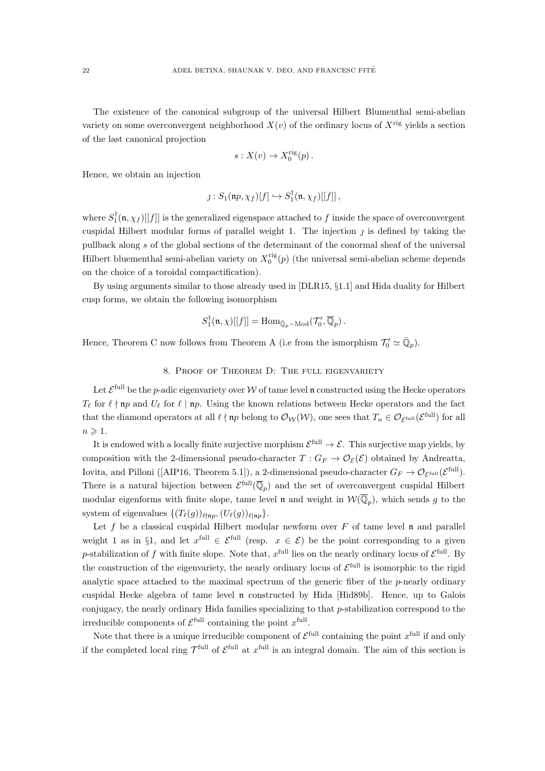The existence of the canonical subgroup of the universal Hilbert Blumenthal semi-abelian variety on some overconvergent neighborhood  $X(v)$  of the ordinary locus of  $X^{rig}$  yields a section of the last canonical projection

$$
s: X(v) \to X_0^{\text{rig}}(p) .
$$

Hence, we obtain an injection

$$
\jmath: S_1(\mathfrak{n}p, \chi_f)[f] \hookrightarrow S_1^{\dagger}(\mathfrak{n}, \chi_f)[[f]],
$$

where  $S_1^{\dagger}(\mathfrak{n}, \chi_f)[[f]]$  is the generalized eigenspace attached to f inside the space of overconvergent cuspidal Hilbert modular forms of parallel weight 1. The injection  $\eta$  is defined by taking the pullback along s of the global sections of the determinant of the conormal sheaf of the universal Hilbert bluementhal semi-abelian variety on  $X_0^{\text{rig}}(p)$  (the universal semi-abelian scheme depends on the choice of a toroidal compactification).

By using arguments similar to those already used in [DLR15, §1.1] and Hida duality for Hilbert cusp forms, we obtain the following isomorphism

$$
S_1^{\dagger}(\mathfrak{n}, \chi)[[f]] = \mathrm{Hom}_{\bar{\mathbb{Q}}_p - \mathrm{Mod}}(\mathcal{T}_0', \overline{\mathbb{Q}}_p) .
$$

Hence, Theorem C now follows from Theorem A (i.e from the ismorphism  $\mathcal{T}'_0 \simeq \overline{\mathbb{Q}}_p$ ).

## 8. Proof of Theorem D: The full eigenvariety

Let  $\mathcal{E}^{\text{full}}$  be the p-adic eigenvariety over W of tame level n constructed using the Hecke operators  $T_{\ell}$  for  $\ell \nmid \mathfrak{m}$  and  $U_{\ell}$  for  $\ell \mid \mathfrak{m}$ . Using the known relations between Hecke operators and the fact that the diamond operators at all  $\ell \nmid np$  belong to  $\mathcal{O}_{\mathcal{W}}(\mathcal{W})$ , one sees that  $T_n \in \mathcal{O}_{\mathcal{E}^{\text{full}}}(\mathcal{E}^{\text{full}})$  for all  $n \geqslant 1$ .

It is endowed with a locally finite surjective morphism  $\mathcal{E}^{\text{full}} \to \mathcal{E}$ . This surjective map yields, by composition with the 2-dimensional pseudo-character  $T: G_F \to \mathcal{O}_{\mathcal{E}}(\mathcal{E})$  obtained by Andreatta, Iovita, and Pilloni ([AIP16, Theorem 5.1]), a 2-dimensional pseudo-character  $G_F \to \mathcal{O}_{\mathcal{E}^{\text{full}}}(\mathcal{E}^{\text{full}})$ . There is a natural bijection between  $\mathcal{E}^{\text{full}}(\overline{\mathbb{Q}}_p)$  and the set of overconvergent cuspidal Hilbert modular eigenforms with finite slope, tame level **n** and weight in  $W(\overline{\mathbb{Q}}_p)$ , which sends g to the system of eigenvalues  $\{(T_\ell(g))_{\ell\nmid np},(U_\ell(g))_{\ell\mid np}\}.$ 

Let f be a classical cuspidal Hilbert modular newform over  $F$  of tame level n and parallel weight 1 as in §1, and let  $x^{\text{full}} \in \mathcal{E}^{\text{full}}$  (resp.  $x \in \mathcal{E}$ ) be the point corresponding to a given p-stabilization of f with finite slope. Note that,  $x^{\text{full}}$  lies on the nearly ordinary locus of  $\mathcal{E}^{\text{full}}$ . By the construction of the eigenvariety, the nearly ordinary locus of  $\mathcal{E}^{\text{full}}$  is isomorphic to the rigid analytic space attached to the maximal spectrum of the generic fiber of the p-nearly ordinary cuspidal Hecke algebra of tame level n constructed by Hida [Hid89b]. Hence, up to Galois conjugacy, the nearly ordinary Hida families specializing to that p-stabilization correspond to the irreducible components of  $\mathcal{E}^{\text{full}}$  containing the point  $x^{\text{full}}$ .

Note that there is a unique irreducible component of  $\mathcal{E}^{\text{full}}$  containing the point  $x^{\text{full}}$  if and only if the completed local ring  $\mathcal{T}^{\text{full}}$  of  $\mathcal{E}^{\text{full}}$  at  $x^{\text{full}}$  is an integral domain. The aim of this section is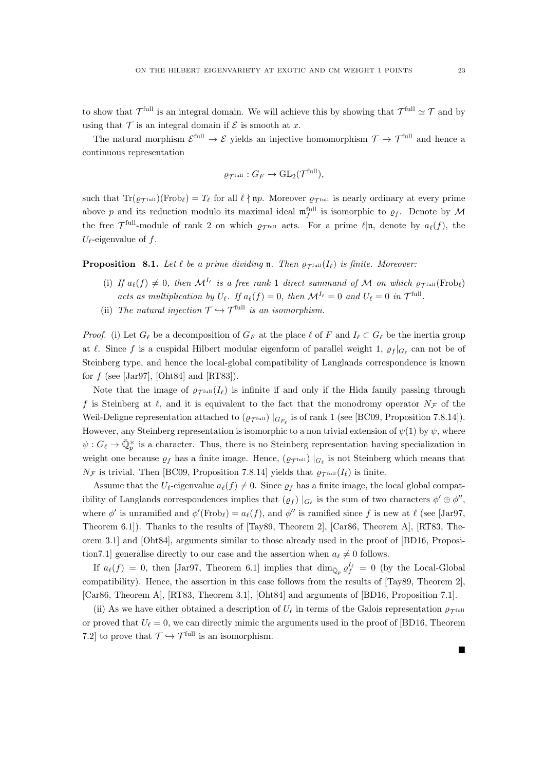to show that  $\mathcal{T}^{\text{full}}$  is an integral domain. We will achieve this by showing that  $\mathcal{T}^{\text{full}} \simeq \mathcal{T}$  and by using that  $\mathcal T$  is an integral domain if  $\mathcal E$  is smooth at x.

The natural morphism  $\mathcal{E}^{\text{full}} \to \mathcal{E}$  yields an injective homomorphism  $\mathcal{T} \to \mathcal{T}^{\text{full}}$  and hence a continuous representation

$$
\varrho_{\mathcal{T}^{\text{full}}} : G_F \to \text{GL}_2(\mathcal{T}^{\text{full}}),
$$

such that  $\text{Tr}(\varrho_{\mathcal{T}^{\text{full}}})(\text{Frob}_\ell) = T_\ell$  for all  $\ell \nmid np$ . Moreover  $\varrho_{\mathcal{T}^{\text{full}}}$  is nearly ordinary at every prime above p and its reduction modulo its maximal ideal  $\mathfrak{m}_f^{\text{full}}$  is isomorphic to  $\rho_f$ . Denote by M the free  $\mathcal{T}^{\text{full}}$ -module of rank 2 on which  $\varrho_{\mathcal{T}^{\text{full}}}$  acts. For a prime  $\ell|\mathfrak{n}$ , denote by  $a_{\ell}(f)$ , the  $U_{\ell}$ -eigenvalue of f.

**Proposition** 8.1. Let  $\ell$  be a prime dividing **n**. Then  $\rho_{\text{Total}}(I_{\ell})$  is finite. Moreover:

- (i) If  $a_{\ell}(f) \neq 0$ , then  $\mathcal{M}^{I_{\ell}}$  is a free rank 1 direct summand of M on which  $\rho_{\mathcal{T}^{\text{full}}}(\text{Frob}_{\ell})$ acts as multiplication by  $U_{\ell}$ . If  $a_{\ell}(f) = 0$ , then  $\mathcal{M}^{I_{\ell}} = 0$  and  $U_{\ell} = 0$  in  $\mathcal{T}^{\text{full}}$ .
- (ii) The natural injection  $\mathcal{T} \hookrightarrow \mathcal{T}^{\text{full}}$  is an isomorphism.

*Proof.* (i) Let  $G_\ell$  be a decomposition of  $G_F$  at the place  $\ell$  of F and  $I_\ell \subset G_\ell$  be the inertia group at  $\ell$ . Since f is a cuspidal Hilbert modular eigenform of parallel weight 1,  $\varrho_f |_{G_{\ell}}$  can not be of Steinberg type, and hence the local-global compatibility of Langlands correspondence is known for  $f$  (see [Jar97], [Oht84] and [RT83]).

Note that the image of  $\rho_{\text{Trull}}(I_\ell)$  is infinite if and only if the Hida family passing through f is Steinberg at  $\ell$ , and it is equivalent to the fact that the monodromy operator  $N_{\mathcal{F}}$  of the Weil-Deligne representation attached to  $(\varrho_{\mathcal{T}^{\text{full}}})|_{G_{F_{\ell}}}$  is of rank 1 (see [BC09, Proposition 7.8.14]). However, any Steinberg representation is isomorphic to a non trivial extension of  $\psi(1)$  by  $\psi$ , where  $\psi: G_{\ell} \to \bar{\mathbb{Q}}_p^{\times}$  is a character. Thus, there is no Steinberg representation having specialization in weight one because  $\varrho_f$  has a finite image. Hence,  $(\varrho_{\mathcal{T}^{\text{full}}})|_{G_{\ell}}$  is not Steinberg which means that  $N_{\mathcal{F}}$  is trivial. Then [BC09, Proposition 7.8.14] yields that  $\varrho_{\mathcal{F}}$ full  $(I_{\ell})$  is finite.

Assume that the  $U_{\ell}$ -eigenvalue  $a_{\ell}(f) \neq 0$ . Since  $\rho_f$  has a finite image, the local global compatibility of Langlands correspondences implies that  $(\varrho_f) \mid_{G_\ell}$  is the sum of two characters  $\phi' \oplus \phi''$ , where  $\phi'$  is unramified and  $\phi'(\text{Frob}_\ell) = a_\ell(f)$ , and  $\phi''$  is ramified since f is new at  $\ell$  (see [Jar97, Theorem 6.1]). Thanks to the results of [Tay89, Theorem 2], [Car86, Theorem A], [RT83, Theorem 3.1] and [Oht84], arguments similar to those already used in the proof of [BD16, Proposition7.1] generalise directly to our case and the assertion when  $a_{\ell} \neq 0$  follows.

If  $a_{\ell}(f) = 0$ , then [Jar97, Theorem 6.1] implies that  $\dim_{\bar{\mathbb{Q}}_p} \varrho_f^{I_{\ell}} = 0$  (by the Local-Global compatibility). Hence, the assertion in this case follows from the results of [Tay89, Theorem 2], [Car86, Theorem A], [RT83, Theorem 3.1], [Oht84] and arguments of [BD16, Proposition 7.1].

(ii) As we have either obtained a description of  $U_\ell$  in terms of the Galois representation  $\rho_{\rm Tfull}$ or proved that  $U_{\ell} = 0$ , we can directly mimic the arguments used in the proof of [BD16, Theorem 7.2] to prove that  $\mathcal{T} \hookrightarrow \mathcal{T}^{\text{full}}$  is an isomorphism.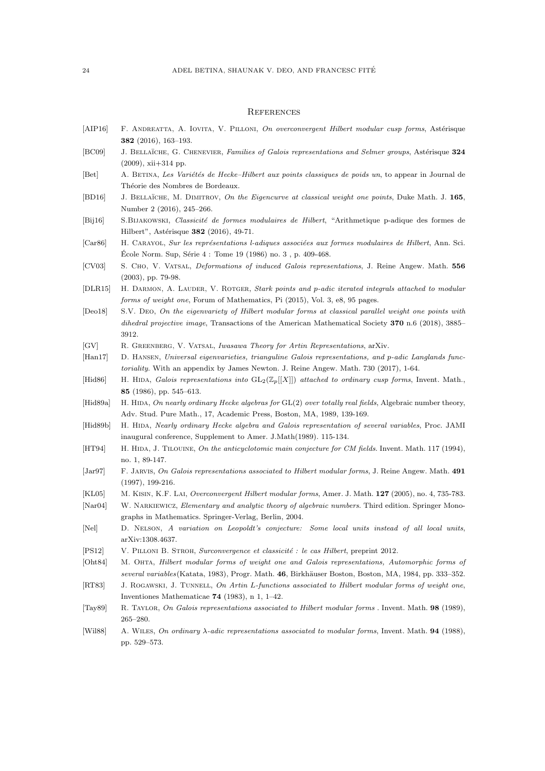#### **REFERENCES**

- [AIP16] F. ANDREATTA, A. IOVITA, V. PILLONI, On overconvergent Hilbert modular cusp forms, Astérisque 382 (2016), 163–193.
- [BC09] J. BELLAÏCHE, G. CHENEVIER, Families of Galois representations and Selmer groups, Astérisque 324 (2009), xii+314 pp.
- [Bet] A. BETINA, Les Variétés de Hecke–Hilbert aux points classiques de poids un, to appear in Journal de Théorie des Nombres de Bordeaux.
- [BD16] J. BELLAÏCHE, M. DIMITROV, On the Eigencurve at classical weight one points, Duke Math. J. 165, Number 2 (2016), 245–266.
- [Bij16] S.BIJAKOWSKI, Classicité de formes modulaires de Hilbert, "Arithmetique p-adique des formes de Hilbert", Astérisque 382 (2016), 49-71.
- [Car86] H. CARAYOL, Sur les représentations l-adiques associées aux formes modulaires de Hilbert, Ann. Sci. École Norm. Sup, Série  $4:$  Tome  $19$  (1986) no.  $3$ , p. 409-468.
- [CV03] S. Cho, V. Vatsal, Deformations of induced Galois representations, J. Reine Angew. Math. 556 (2003), pp. 79-98.
- [DLR15] H. DARMON, A. LAUDER, V. ROTGER, Stark points and p-adic iterated integrals attached to modular forms of weight one, Forum of Mathematics, Pi (2015), Vol. 3, e8, 95 pages.
- [Deo18] S.V. Deo, On the eigenvariety of Hilbert modular forms at classical parallel weight one points with dihedral projective image, Transactions of the American Mathematical Society 370 n.6 (2018), 3885– 3912.
- [GV] R. Greenberg, V. Vatsal, Iwasawa Theory for Artin Representations, arXiv.
- [Han17] D. HANSEN, Universal eigenvarieties, trianguline Galois representations, and p-adic Langlands functoriality. With an appendix by James Newton. J. Reine Angew. Math. 730 (2017), 1-64.
- [Hid86] H. HIDA, Galois representations into  $GL_2(\mathbb{Z}_p[[X]])$  attached to ordinary cusp forms, Invent. Math., 85 (1986), pp. 545–613.
- [Hid89a] H. HIDA, On nearly ordinary Hecke algebras for GL(2) over totally real fields, Algebraic number theory, Adv. Stud. Pure Math., 17, Academic Press, Boston, MA, 1989, 139-169.
- [Hid89b] H. HIDA, Nearly ordinary Hecke algebra and Galois representation of several variables, Proc. JAMI inaugural conference, Supplement to Amer. J.Math(1989). 115-134.
- [HT94] H. HIDA, J. TILOUINE, On the anticyclotomic main conjecture for CM fields. Invent. Math. 117 (1994), no. 1, 89-147.
- [Jar97] F. Jarvis, On Galois representations associated to Hilbert modular forms, J. Reine Angew. Math. 491 (1997), 199-216.
- [KL05] M. Kisin, K.F. Lai, Overconvergent Hilbert modular forms, Amer. J. Math. 127 (2005), no. 4, 735-783.
- [Nar04] W. Narkiewicz, Elementary and analytic theory of algebraic numbers. Third edition. Springer Monographs in Mathematics. Springer-Verlag, Berlin, 2004.
- [Nel] D. NELSON, A variation on Leopoldt's conjecture: Some local units instead of all local units, arXiv:1308.4637.
- [PS12] V. PILLONI B. STROH, Surconvergence et classicité : le cas Hilbert, preprint 2012.
- [Oht84] M. OHTA, Hilbert modular forms of weight one and Galois representations, Automorphic forms of several variables(Katata, 1983), Progr. Math. 46, Birkhäuser Boston, Boston, MA, 1984, pp. 333–352.
- [RT83] J. ROGAWSKI, J. TUNNELL, On Artin L-functions associated to Hilbert modular forms of weight one, Inventiones Mathematicae 74 (1983), n 1, 1–42.
- [Tay89] R. Taylor, On Galois representations associated to Hilbert modular forms . Invent. Math. 98 (1989), 265–280.
- [Wil88] A. WILES, On ordinary  $\lambda$ -adic representations associated to modular forms, Invent. Math. **94** (1988), pp. 529–573.